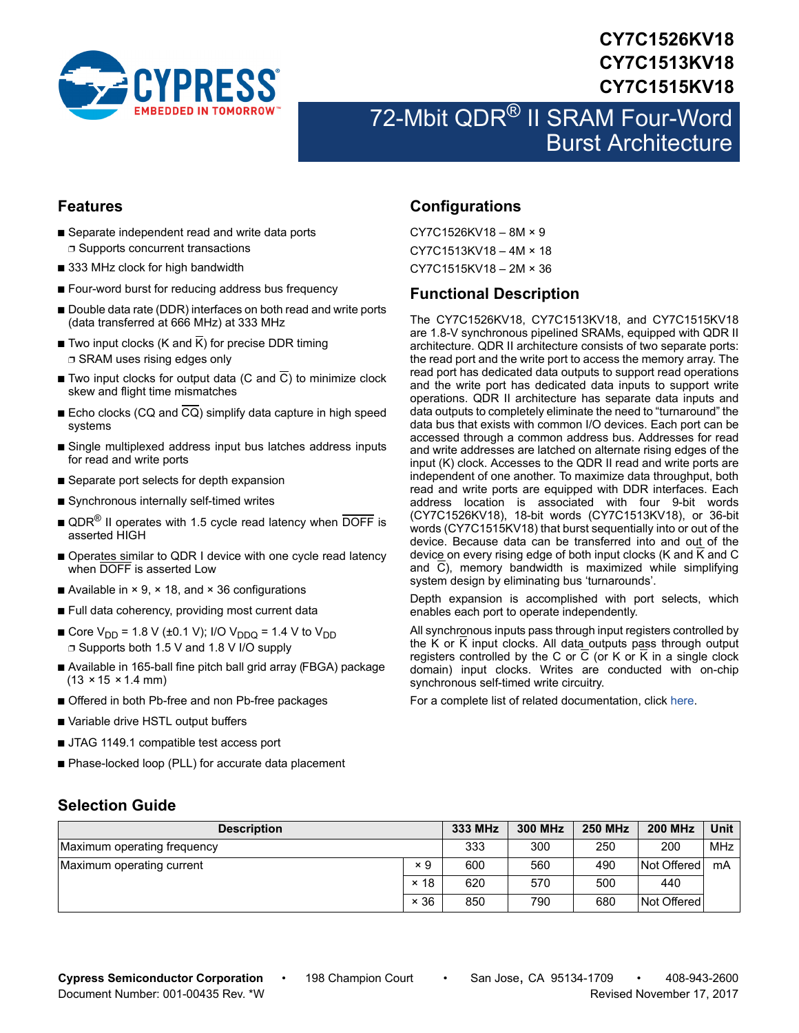

# **CY7C1526KV18 CY7C1513KV18 CY7C1515KV18**

# 72-Mbit QDR® II SRAM Four-Word Burst Architecture

### **Features**

- Separate independent read and write data ports ❐ Supports concurrent transactions
- 333 MHz clock for high bandwidth
- Four-word burst for reducing address bus frequency
- Double data rate (DDR) interfaces on both read and write ports (data transferred at 666 MHz) at 333 MHz
- Two input clocks (K and  $\overline{K}$ ) for precise DDR timing ❐ SRAM uses rising edges only
- Two input clocks for output data (C and  $\overline{C}$ ) to minimize clock skew and flight time mismatches
- Echo clocks (CQ and CQ) simplify data capture in high speed systems
- Single multiplexed address input bus latches address inputs for read and write ports
- Separate port selects for depth expansion
- Synchronous internally self-timed writes
- $\blacksquare$  QDR<sup>®</sup> II operates with 1.5 cycle read latency when DOFF is asserted HIGH
- Operates similar to QDR I device with one cycle read latency when DOFF is asserted Low
- Available in  $\times$  9,  $\times$  18, and  $\times$  36 configurations
- Full data coherency, providing most current data
- Core V<sub>DD</sub> = 1.8 V (±0.1 V); I/O V<sub>DDQ</sub> = 1.4 V to V<sub>DD</sub> ❐ Supports both 1.5 V and 1.8 V I/O supply
- Available in 165-ball fine pitch ball grid array (FBGA) package  $(13 \times 15 \times 1.4 \text{ mm})$
- Offered in both Pb-free and non Pb-free packages
- Variable drive HSTL output buffers
- JTAG 1149.1 compatible test access port
- Phase-locked loop (PLL) for accurate data placement

# **Configurations**

CY7C1526KV18 – 8M × 9 CY7C1513KV18 – 4M × 18 CY7C1515KV18 – 2M × 36

### <span id="page-0-0"></span>**Functional Description**

The CY7C1526KV18, CY7C1513KV18, and CY7C1515KV18 are 1.8-V synchronous pipelined SRAMs, equipped with QDR II architecture. QDR II architecture consists of two separate ports: the read port and the write port to access the memory array. The read port has dedicated data outputs to support read operations and the write port has dedicated data inputs to support write operations. QDR II architecture has separate data inputs and data outputs to completely eliminate the need to "turnaround" the data bus that exists with common I/O devices. Each port can be accessed through a common address bus. Addresses for read and write addresses are latched on alternate rising edges of the input (K) clock. Accesses to the QDR II read and write ports are independent of one another. To maximize data throughput, both read and write ports are equipped with DDR interfaces. Each address location is associated with four 9-bit words (CY7C1526KV18), 18-bit words (CY7C1513KV18), or 36-bit words (CY7C1515KV18) that burst sequentially into or out of the device. Because data can be transferred into and out of the device on every rising edge of both input clocks (K and  $\overline{K}$  and C and C), memory bandwidth is maximized while simplifying system design by eliminating bus 'turnarounds'.

Depth expansion is accomplished with port selects, which enables each port to operate independently.

All synchronous inputs pass through input registers controlled by the K or K input clocks. All data outputs pass through output registers controlled by the C or C (or K or K in a single clock domain) input clocks. Writes are conducted with on-chip synchronous self-timed write circuitry.

For a complete list of related documentation, click [here](http://www.cypress.com/?rID=35410).

### **Selection Guide**

| <b>Description</b>          |             | 333 MHz | <b>300 MHz</b> | <b>250 MHz</b> | <b>200 MHz</b> | <b>Unit</b> |
|-----------------------------|-------------|---------|----------------|----------------|----------------|-------------|
| Maximum operating frequency |             | 333     | 300            | 250            | 200            | <b>MHz</b>  |
| Maximum operating current   | × 9         | 600     | 560            | 490            | Not Offered    | mA          |
|                             | $\times$ 18 | 620     | 570            | 500            | 440            |             |
|                             | $\times$ 36 | 850     | 790            | 680            | Not Offered    |             |

**Cypress Semiconductor Corporation** • 198 Champion Court • San Jose, CA 95134-1709 • 408-943-2600 Document Number: 001-00435 Rev. \*W Revised November 17, 2017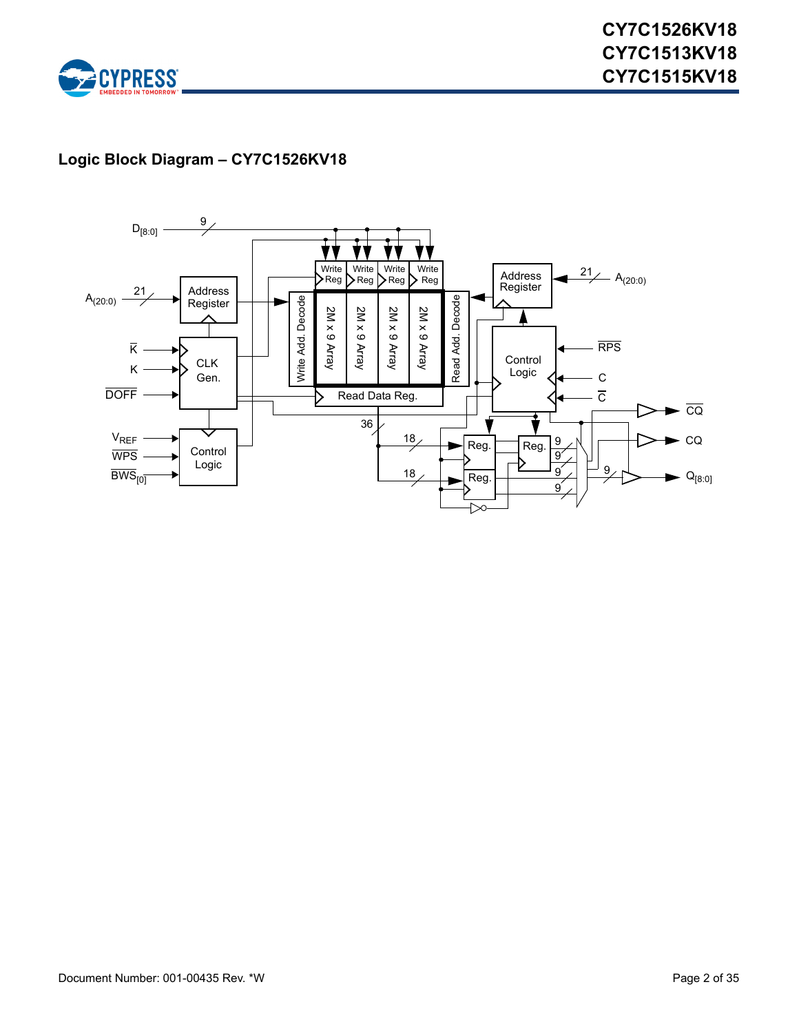

# **Logic Block Diagram – CY7C1526KV18**

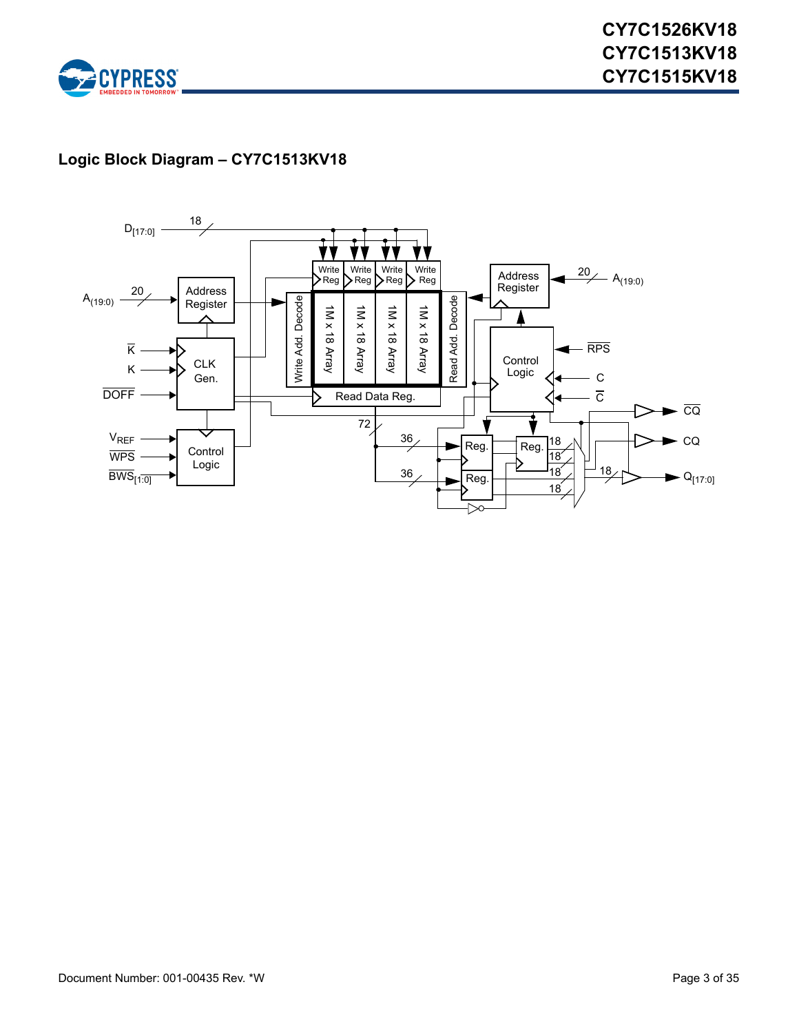

# **Logic Block Diagram – CY7C1513KV18**

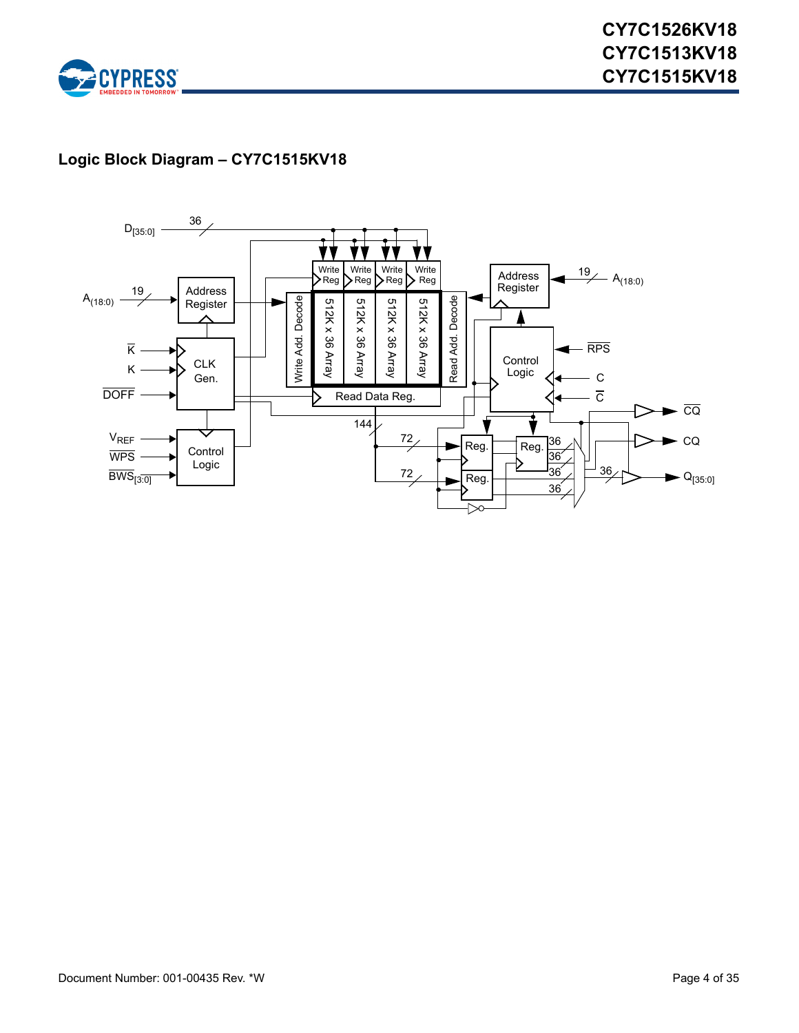

# **Logic Block Diagram – CY7C1515KV18**

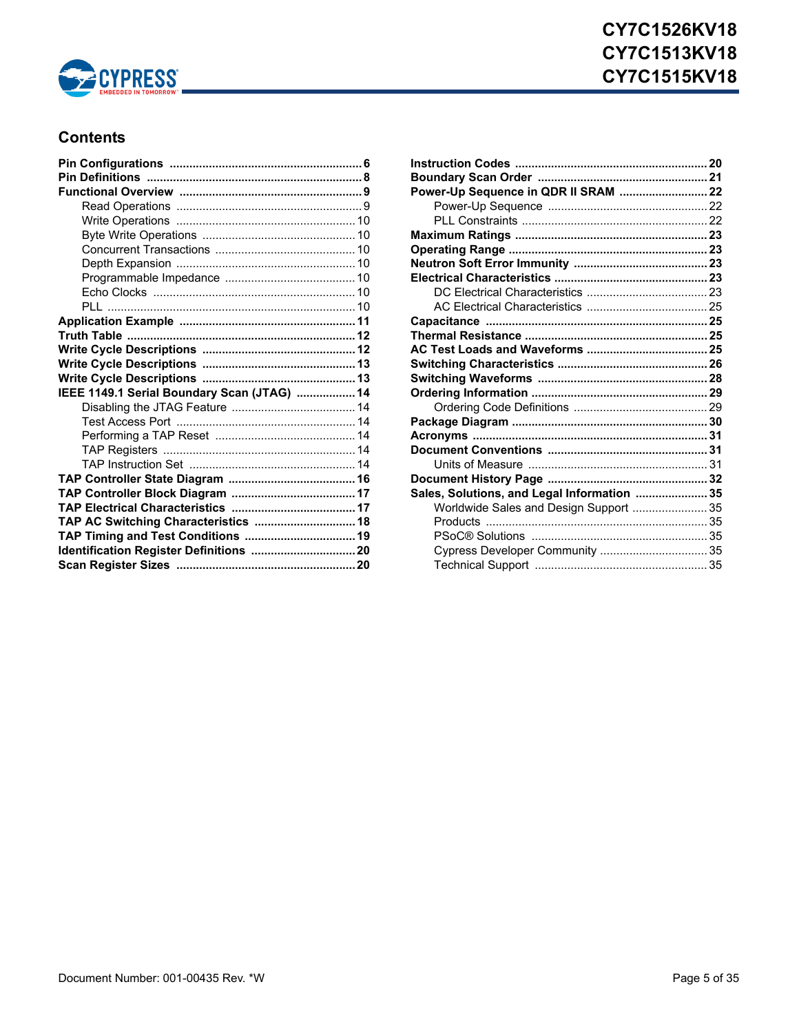

# **CY7C1526KV18 CY7C1513KV18 CY7C1515KV18**

# **Contents**

| IEEE 1149.1 Serial Boundary Scan (JTAG)  14 |  |
|---------------------------------------------|--|
|                                             |  |
|                                             |  |
|                                             |  |
|                                             |  |
|                                             |  |
|                                             |  |
|                                             |  |
|                                             |  |
| TAP AC Switching Characteristics  18        |  |
| TAP Timing and Test Conditions  19          |  |
| Identification Register Definitions  20     |  |
|                                             |  |

| Power-Up Sequence in QDR II SRAM  22        |  |
|---------------------------------------------|--|
|                                             |  |
|                                             |  |
|                                             |  |
|                                             |  |
|                                             |  |
|                                             |  |
|                                             |  |
|                                             |  |
|                                             |  |
|                                             |  |
|                                             |  |
|                                             |  |
|                                             |  |
|                                             |  |
|                                             |  |
|                                             |  |
|                                             |  |
|                                             |  |
|                                             |  |
|                                             |  |
| Sales, Solutions, and Legal Information  35 |  |
| Worldwide Sales and Design Support  35      |  |
|                                             |  |
|                                             |  |
| Cypress Developer Community  35             |  |
|                                             |  |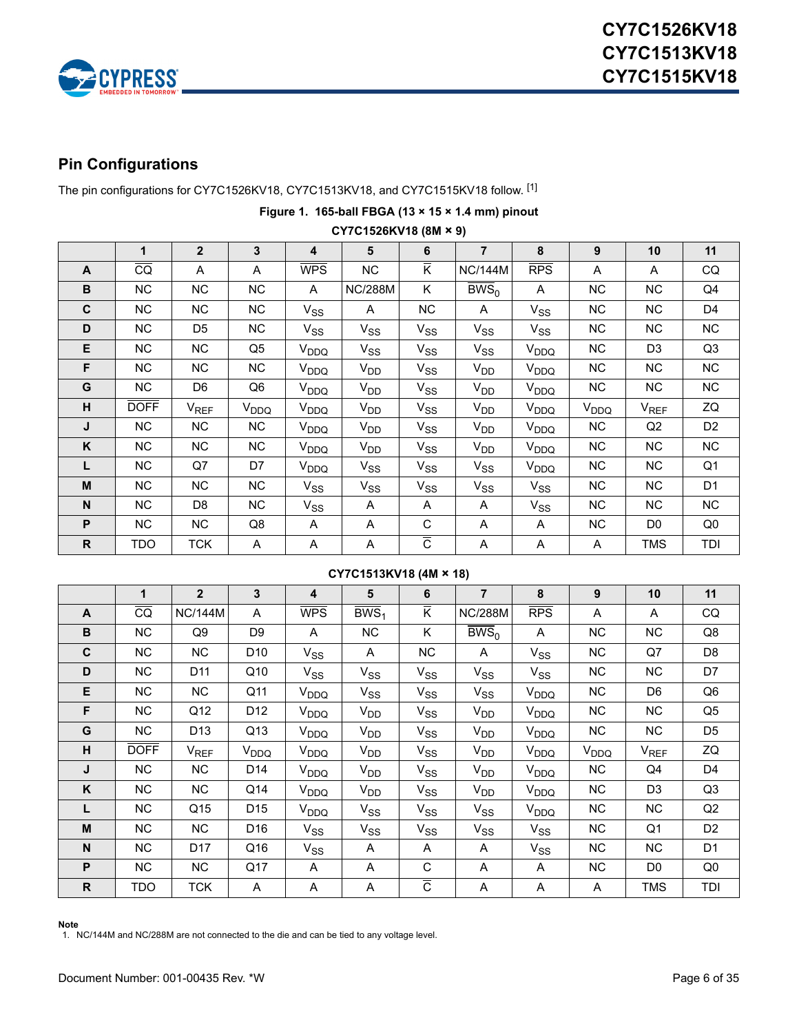

# <span id="page-5-0"></span>**Pin Configurations**

The pin configurations for CY7C1526KV18, CY7C1513KV18, and CY7C1515KV18 follow. [[1\]](#page-5-1)

|              | CY7C1526KV18 (8M × 9) |                |                  |                  |                |                           |                      |                  |                  |                  |                |
|--------------|-----------------------|----------------|------------------|------------------|----------------|---------------------------|----------------------|------------------|------------------|------------------|----------------|
|              | 1                     | $\overline{2}$ | 3                | 4                | 5              | 6                         | $\overline{7}$       | 8                | 9                | 10               | 11             |
| $\mathsf{A}$ | $\overline{CQ}$       | A              | A                | <b>WPS</b>       | NC             | $\overline{\mathsf{K}}$   | <b>NC/144M</b>       | RPS              | A                | A                | CQ             |
| B            | NC.                   | NC.            | <b>NC</b>        | A                | <b>NC/288M</b> | K                         | $\overline{BWS}_{0}$ | A                | NC.              | NC.              | Q4             |
| C            | NC                    | <b>NC</b>      | <b>NC</b>        | $V_{SS}$         | Α              | <b>NC</b>                 | A                    | $V_{SS}$         | NC.              | NC.              | D4             |
| D            | NC                    | D <sub>5</sub> | NC               | $V_{SS}$         | $V_{SS}$       | $V_{SS}$                  | $V_{SS}$             | $V_{SS}$         | NC.              | NC               | NC             |
| Е            | NC                    | <b>NC</b>      | Q5               | $V_{DDQ}$        | $V_{SS}$       | $V_{SS}$                  | $V_{SS}$             | $V_{DDQ}$        | NC               | D <sub>3</sub>   | Q3             |
| F            | NC.                   | NC.            | <b>NC</b>        | $V_{DDQ}$        | $V_{DD}$       | $V_{SS}$                  | $V_{DD}$             | V <sub>DDQ</sub> | NC.              | NC.              | NC.            |
| G            | NC                    | D6             | Q6               | $V_{DDQ}$        | $V_{DD}$       | $V_{SS}$                  | $V_{DD}$             | V <sub>DDQ</sub> | NC               | NC.              | <b>NC</b>      |
| н            | <b>DOFF</b>           | $V_{REF}$      | V <sub>DDQ</sub> | V <sub>DDQ</sub> | $V_{DD}$       | $V_{SS}$                  | $V_{DD}$             | V <sub>DDQ</sub> | V <sub>DDQ</sub> | V <sub>REF</sub> | ZQ             |
| J            | NC.                   | NC.            | <b>NC</b>        | V <sub>DDQ</sub> | $V_{DD}$       | $V_{SS}$                  | $V_{DD}$             | V <sub>DDQ</sub> | NC               | Q2               | D <sub>2</sub> |
| Κ            | NC.                   | <b>NC</b>      | <b>NC</b>        | V <sub>DDQ</sub> | $V_{DD}$       | $V_{SS}$                  | $V_{DD}$             | V <sub>DDQ</sub> | NC               | NC.              | NC.            |
| L            | NC                    | Q7             | D7               | $V_{DDQ}$        | $V_{SS}$       | $V_{SS}$                  | $V_{SS}$             | V <sub>DDQ</sub> | NC               | NC.              | Q1             |
| M            | <b>NC</b>             | <b>NC</b>      | NC               | $V_{SS}$         | $V_{SS}$       | $V_{SS}$                  | $V_{SS}$             | $V_{SS}$         | <b>NC</b>        | <b>NC</b>        | D <sub>1</sub> |
| N            | NC.                   | D8             | NC               | $V_{SS}$         | Α              | Α                         | A                    | $V_{SS}$         | NC               | NC.              | NC             |
| P            | NC                    | NC.            | Q8               | A                | A              | C                         | A                    | A                | NC.              | D <sub>0</sub>   | Q <sub>0</sub> |
| R            | TDO                   | <b>TCK</b>     | A                | Α                | Α              | $\overline{\overline{C}}$ | Α                    | A                | Α                | <b>TMS</b>       | TDI            |

# **Figure 1. 165-ball FBGA (13 × 15 × 1.4 mm) pinout**

#### **CY7C1513KV18 (4M × 18)**

|              | 1               | $\overline{2}$   | 3                | 4                | 5                  | 6                         | $\overline{7}$  | 8                | 9                | 10               | 11             |
|--------------|-----------------|------------------|------------------|------------------|--------------------|---------------------------|-----------------|------------------|------------------|------------------|----------------|
| $\mathsf{A}$ | $\overline{CQ}$ | <b>NC/144M</b>   | A                | <b>WPS</b>       | $\overline{BWS}_1$ | $\overline{\mathsf{K}}$   | <b>NC/288M</b>  | RPS              | A                | A                | CQ             |
| B            | <b>NC</b>       | Q9               | D9               | A                | <b>NC</b>          | K                         | $BWS_0$         | A                | <b>NC</b>        | <b>NC</b>        | Q8             |
| $\mathbf c$  | NC.             | NC               | D <sub>10</sub>  | $V_{SS}$         | A                  | NC                        | A               | $V_{SS}$         | NC.              | Q7               | D <sub>8</sub> |
| D            | NC              | D11              | Q10              | $V_{SS}$         | $V_{SS}$           | $V_{SS}$                  | $V_{SS}$        | $V_{SS}$         | <b>NC</b>        | NC.              | D7             |
| Е            | NC              | NC               | Q11              | V <sub>DDQ</sub> | $V_{SS}$           | $V_{SS}$                  | $V_{SS}$        | V <sub>DDQ</sub> | NC.              | D6               | Q <sub>6</sub> |
| F            | NC.             | Q12              | D <sub>12</sub>  | V <sub>DDQ</sub> | $V_{DD}$           | $V_{SS}$                  | $V_{DD}$        | V <sub>DDQ</sub> | NC.              | NC.              | Q5             |
| G            | NC              | D <sub>13</sub>  | Q13              | V <sub>DDQ</sub> | $V_{DD}$           | $V_{SS}$                  | V <sub>DD</sub> | V <sub>DDQ</sub> | <b>NC</b>        | NC.              | D <sub>5</sub> |
| н            | <b>DOFF</b>     | V <sub>REF</sub> | V <sub>DDQ</sub> | V <sub>DDQ</sub> | $V_{DD}$           | $V_{SS}$                  | $V_{DD}$        | V <sub>DDQ</sub> | V <sub>DDQ</sub> | V <sub>REF</sub> | ZQ             |
| J            | <b>NC</b>       | NC               | D <sub>14</sub>  | V <sub>DDQ</sub> | $V_{DD}$           | $V_{SS}$                  | $V_{DD}$        | V <sub>DDQ</sub> | <b>NC</b>        | Q4               | D <sub>4</sub> |
| K            | <b>NC</b>       | <b>NC</b>        | Q14              | V <sub>DDQ</sub> | $V_{DD}$           | $V_{SS}$                  | V <sub>DD</sub> | V <sub>DDQ</sub> | <b>NC</b>        | D <sub>3</sub>   | Q3             |
| L            | NC              | Q <sub>15</sub>  | D <sub>15</sub>  | V <sub>DDQ</sub> | $V_{SS}$           | $V_{SS}$                  | $V_{SS}$        | V <sub>DDQ</sub> | NC.              | NC.              | Q2             |
| M            | NC.             | NC.              | D <sub>16</sub>  | $V_{SS}$         | $V_{SS}$           | $V_{SS}$                  | $V_{SS}$        | $V_{SS}$         | <b>NC</b>        | Q <sub>1</sub>   | D <sub>2</sub> |
| N            | <b>NC</b>       | D <sub>17</sub>  | Q16              | $V_{SS}$         | A                  | A                         | A               | $V_{SS}$         | NC               | <b>NC</b>        | D1             |
| P            | NC              | NC               | Q17              | A                | A                  | C                         | A               | A                | <b>NC</b>        | D <sub>0</sub>   | Q <sub>0</sub> |
| $\mathsf{R}$ | TDO             | TCK              | Α                | A                | A                  | $\overline{\overline{C}}$ | A               | A                | A                | <b>TMS</b>       | TDI            |

<span id="page-5-1"></span>**Note** 1. NC/144M and NC/288M are not connected to the die and can be tied to any voltage level.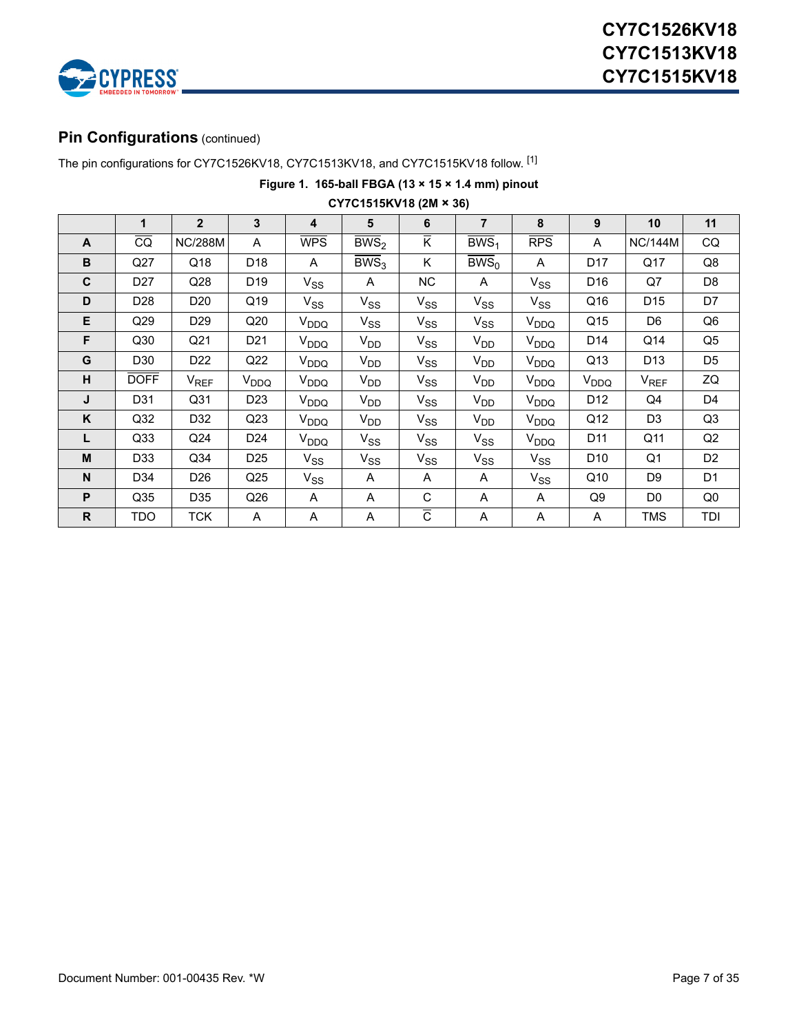

### **Pin Configurations** (continued)

The pin configurations for CY7C1526KV18, CY7C1513KV18, and CY7C1515KV18 follow. [1]

**Figure 1. 165-ball FBGA (13 × 15 × 1.4 mm) pinout**

|              |                 |                  |                  |                         | $UT/UTJ$ 1313NV 10 (ZIVI $\sim$ 30) |                         |                             |                  |                  |                  |                |
|--------------|-----------------|------------------|------------------|-------------------------|-------------------------------------|-------------------------|-----------------------------|------------------|------------------|------------------|----------------|
|              | $\mathbf 1$     | $2^{\circ}$      | 3                | 4                       | $5\phantom{1}$                      | 6                       | $\overline{7}$              | 8                | 9                | 10               | 11             |
| A            | $\overline{CQ}$ | <b>NC/288M</b>   | A                | $\overline{\text{WPS}}$ | $\overline{BWS}_2$                  | $\overline{\mathsf{K}}$ | $\overline{BWS}_1$          | <b>RPS</b>       | A                | <b>NC/144M</b>   | CQ             |
| $\, {\bf B}$ | Q27             | Q18              | D18              | A                       | $\overline{BWS}_3$                  | K.                      | $\overline{\mathrm{BWS}}_0$ | A                | D17              | Q17              | Q8             |
| C            | D <sub>27</sub> | Q28              | D19              | $V_{SS}$                | A                                   | <b>NC</b>               | A                           | $V_{SS}$         | D16              | Q7               | D8             |
| D            | D <sub>28</sub> | D <sub>20</sub>  | Q19              | $V_{SS}$                | $V_{SS}$                            | $V_{SS}$                | $V_{SS}$                    | $V_{SS}$         | Q16              | D <sub>15</sub>  | D7             |
| Е            | Q29             | D <sub>29</sub>  | Q20              | $V_{DDQ}$               | $V_{SS}$                            | $V_{SS}$                | $V_{SS}$                    | V <sub>DDQ</sub> | Q <sub>15</sub>  | D <sub>6</sub>   | Q6             |
| F            | Q30             | Q21              | D21              | V <sub>DDQ</sub>        | $V_{DD}$                            | $V_{SS}$                | $V_{DD}$                    | V <sub>DDQ</sub> | D14              | Q14              | Q5             |
| G            | D30             | D22              | Q22              | V <sub>DDQ</sub>        | $V_{DD}$                            | $V_{SS}$                | $V_{DD}$                    | V <sub>DDQ</sub> | Q13              | D13              | D <sub>5</sub> |
| н            | <b>DOFF</b>     | V <sub>REF</sub> | V <sub>DDQ</sub> | V <sub>DDQ</sub>        | $V_{DD}$                            | $V_{SS}$                | $V_{DD}$                    | V <sub>DDQ</sub> | V <sub>DDQ</sub> | V <sub>REF</sub> | ZQ             |
| J            | D31             | Q <sub>31</sub>  | D <sub>23</sub>  | V <sub>DDQ</sub>        | $V_{DD}$                            | $V_{SS}$                | $V_{DD}$                    | V <sub>DDQ</sub> | D12              | Q4               | D4             |
| Κ            | Q <sub>32</sub> | D32              | Q23              | V <sub>DDQ</sub>        | $V_{DD}$                            | $V_{SS}$                | $V_{DD}$                    | V <sub>DDQ</sub> | Q12              | D <sub>3</sub>   | Q3             |
| L            | Q <sub>33</sub> | Q24              | D <sub>24</sub>  | V <sub>DDQ</sub>        | $V_{SS}$                            | $V_{SS}$                | $V_{SS}$                    | V <sub>DDQ</sub> | D11              | Q11              | Q2             |
| M            | D33             | Q <sub>34</sub>  | D <sub>25</sub>  | $V_{SS}$                | $V_{SS}$                            | $V_{SS}$                | $V_{SS}$                    | $V_{SS}$         | D <sub>10</sub>  | Q <sub>1</sub>   | D <sub>2</sub> |
| N            | D34             | D26              | Q25              | $V_{SS}$                | A                                   | A                       | A                           | $V_{SS}$         | Q10              | D <sub>9</sub>   | D <sub>1</sub> |
| P            | Q35             | D35              | Q26              | A                       | Α                                   | C                       | A                           | A                | Q9               | D <sub>0</sub>   | Q0             |
| $\mathsf{R}$ | TDO             | <b>TCK</b>       | A                | A                       | Α                                   | $\overline{c}$          | Α                           | A                | A                | TMS              | TDI            |

**CY7C1515KV18 (2M × 36)**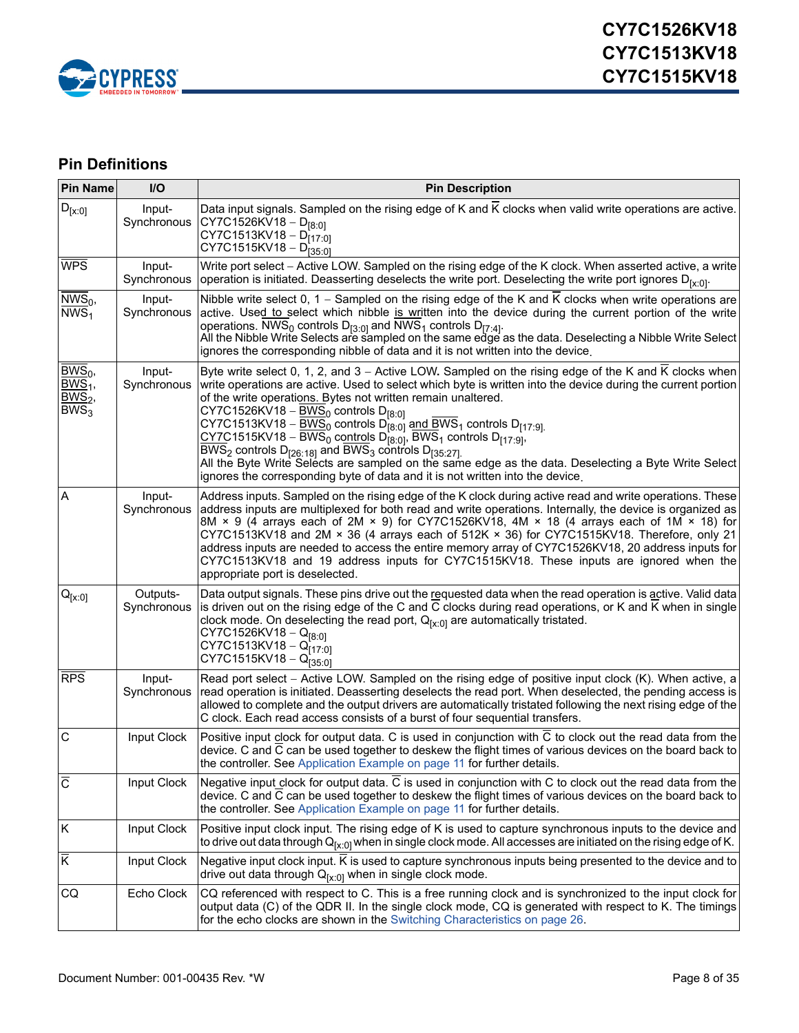

# <span id="page-7-0"></span>**Pin Definitions**

| <b>Pin Name</b>                                      | I/O                     | <b>Pin Description</b>                                                                                                                                                                                                                                                                                                                                                                                                                                                                                                                                                                                                                                                                                                                                                                                                                              |
|------------------------------------------------------|-------------------------|-----------------------------------------------------------------------------------------------------------------------------------------------------------------------------------------------------------------------------------------------------------------------------------------------------------------------------------------------------------------------------------------------------------------------------------------------------------------------------------------------------------------------------------------------------------------------------------------------------------------------------------------------------------------------------------------------------------------------------------------------------------------------------------------------------------------------------------------------------|
| $D_{[x:0]}$                                          | Input-<br>Synchronous   | Data input signals. Sampled on the rising edge of K and $\overline{K}$ clocks when valid write operations are active.<br>CY7C1526KV18 - $D_{[8:0]}$<br>$CY7C1513KV18 - D[17:0]$<br>CY7C1515KV18 - D <sub>[35:0]</sub>                                                                                                                                                                                                                                                                                                                                                                                                                                                                                                                                                                                                                               |
| <b>WPS</b>                                           | Input-<br>Synchronous   | Write port select - Active LOW. Sampled on the rising edge of the K clock. When asserted active, a write<br>operation is initiated. Deasserting deselects the write port. Deselecting the write port ignores $D_{[x:0]}$ .                                                                                                                                                                                                                                                                                                                                                                                                                                                                                                                                                                                                                          |
| $NWS_0$ ,<br>$\overline{\text{NWS}}_1$               | Input-<br>Synchronous   | Nibble write select $0$ , $1$ – Sampled on the rising edge of the K and K clocks when write operations are<br>active. Used to select which nibble is written into the device during the current portion of the write<br>operations. NWS <sub>0</sub> controls $D_{[3:0]}$ and NWS <sub>1</sub> controls $D_{[7:4]}$ .<br>All the Nibble Write Selects are sampled on the same edge as the data. Deselecting a Nibble Write Select<br>ignores the corresponding nibble of data and it is not written into the device.                                                                                                                                                                                                                                                                                                                                |
| $BWS_0$ ,<br>$BWS1$ ,<br>BWS <sub>2</sub><br>$BWS_3$ | Input-<br>Synchronous   | Byte write select 0, 1, 2, and 3 - Active LOW. Sampled on the rising edge of the K and K clocks when<br>write operations are active. Used to select which byte is written into the device during the current portion<br>of the write operations. Bytes not written remain unaltered.<br>CY7C1526KV18 - $\underline{BWS_0}$ controls D <sub>[8:0]</sub><br>CY7C1513KV18 – $\underline{BWS_0}$ controls D <sub>[8:0]</sub> and BWS <sub>1</sub> controls D <sub>[17:9]</sub><br>$CY7C1515KV18 - BWS0$ controls $D_{[8:0]}$ , BWS <sub>1</sub> controls $D_{[17:9]}$ ,<br>BWS <sub>2</sub> controls $D_{126:181}$ and BWS <sub>3</sub> controls $D_{135:271}$<br>All the Byte Write Selects are sampled on the same edge as the data. Deselecting a Byte Write Select<br>ignores the corresponding byte of data and it is not written into the device. |
| A                                                    | Input-<br>Synchronous   | Address inputs. Sampled on the rising edge of the K clock during active read and write operations. These<br>address inputs are multiplexed for both read and write operations. Internally, the device is organized as<br>8M × 9 (4 arrays each of 2M × 9) for CY7C1526KV18, 4M × 18 (4 arrays each of 1M × 18) for<br>CY7C1513KV18 and 2M × 36 (4 arrays each of 512K × 36) for CY7C1515KV18. Therefore, only 21<br>address inputs are needed to access the entire memory array of CY7C1526KV18, 20 address inputs for<br>CY7C1513KV18 and 19 address inputs for CY7C1515KV18. These inputs are ignored when the<br>appropriate port is deselected.                                                                                                                                                                                                 |
| $\mathsf{Q}_{[\mathsf{X}:\mathsf{0}]}$               | Outputs-<br>Synchronous | Data output signals. These pins drive out the requested data when the read operation is active. Valid data<br>is driven out on the rising edge of the C and C clocks during read operations, or K and K when in single<br>clock mode. On deselecting the read port, $Q_{[x:0]}$ are automatically tristated.<br>CY7C1526KV18 - $Q_{[8:0]}$<br>$CY7C1513KV18 - Q[17:0]$<br>CY7C1515KV18 - Q <sub>[35:0]</sub>                                                                                                                                                                                                                                                                                                                                                                                                                                        |
| <b>RPS</b>                                           | Input-<br>Synchronous   | Read port select - Active LOW. Sampled on the rising edge of positive input clock (K). When active, a<br>read operation is initiated. Deasserting deselects the read port. When deselected, the pending access is<br>allowed to complete and the output drivers are automatically tristated following the next rising edge of the<br>C clock. Each read access consists of a burst of four sequential transfers.                                                                                                                                                                                                                                                                                                                                                                                                                                    |
| C                                                    | Input Clock             | Positive input clock for output data. C is used in conjunction with C to clock out the read data from the<br>device. C and C can be used together to deskew the flight times of various devices on the board back to<br>the controller. See Application Example on page 11 for further details.                                                                                                                                                                                                                                                                                                                                                                                                                                                                                                                                                     |
| $\overline{C}$                                       | Input Clock             | Negative input clock for output data. C is used in conjunction with C to clock out the read data from the<br>device. C and C can be used together to deskew the flight times of various devices on the board back to<br>the controller. See Application Example on page 11 for further details.                                                                                                                                                                                                                                                                                                                                                                                                                                                                                                                                                     |
| Κ                                                    | Input Clock             | Positive input clock input. The rising edge of K is used to capture synchronous inputs to the device and<br>to drive out data through Q <sub>[x:0]</sub> when in single clock mode. All accesses are initiated on the rising edge of K.                                                                                                                                                                                                                                                                                                                                                                                                                                                                                                                                                                                                             |
| $\overline{\mathsf{K}}$                              | Input Clock             | Negative input clock input. K is used to capture synchronous inputs being presented to the device and to<br>drive out data through $Q_{[x:0]}$ when in single clock mode.                                                                                                                                                                                                                                                                                                                                                                                                                                                                                                                                                                                                                                                                           |
| CQ                                                   | Echo Clock              | CQ referenced with respect to C. This is a free running clock and is synchronized to the input clock for<br>output data (C) of the QDR II. In the single clock mode, CQ is generated with respect to K. The timings<br>for the echo clocks are shown in the Switching Characteristics on page 26.                                                                                                                                                                                                                                                                                                                                                                                                                                                                                                                                                   |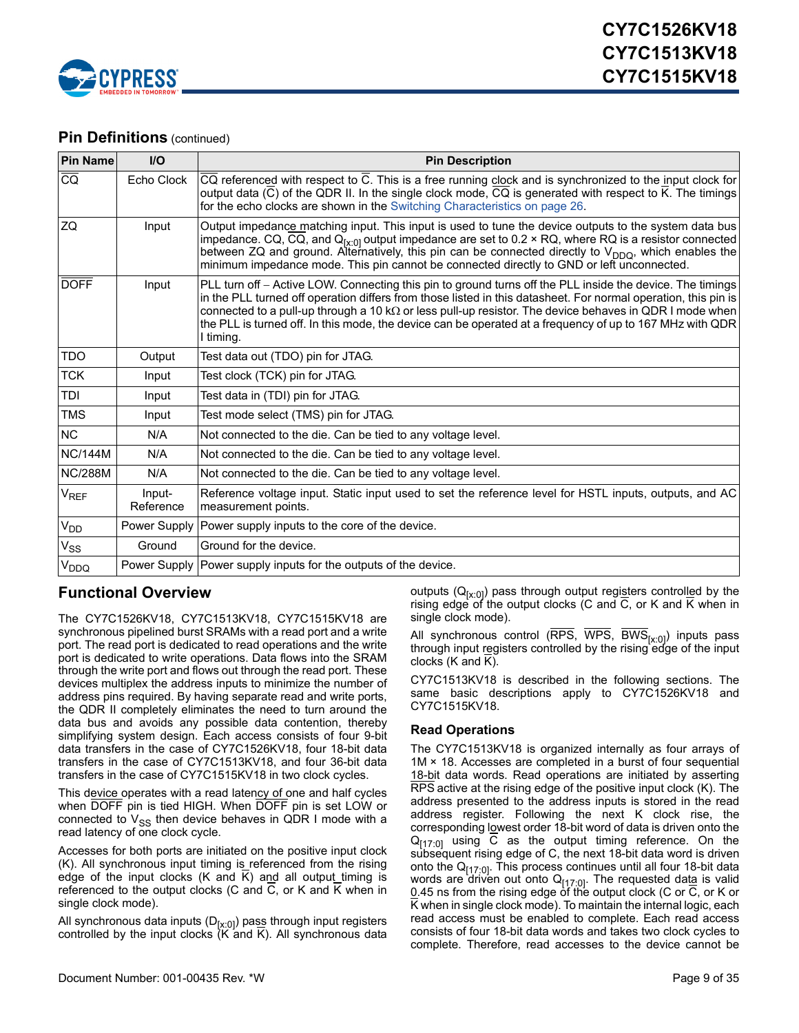

### **Pin Definitions** (continued)

| <b>Pin Name</b>             | $UO$                | <b>Pin Description</b>                                                                                                                                                                                                                                                                                                                                                                                                                                                 |
|-----------------------------|---------------------|------------------------------------------------------------------------------------------------------------------------------------------------------------------------------------------------------------------------------------------------------------------------------------------------------------------------------------------------------------------------------------------------------------------------------------------------------------------------|
| $\overline{CQ}$             | Echo Clock          | CQ referenced with respect to C. This is a free running clock and is synchronized to the input clock for<br>output data (C) of the QDR II. In the single clock mode, CQ is generated with respect to $\overline{K}$ . The timings<br>for the echo clocks are shown in the Switching Characteristics on page 26.                                                                                                                                                        |
| ZQ                          | Input               | Output impedance matching input. This input is used to tune the device outputs to the system data bus<br>impedance. CQ, CQ, and $Q_{[x:0]}$ output impedance are set to 0.2 × RQ, where RQ is a resistor connected<br>between ZQ and ground. Alternatively, this pin can be connected directly to $V_{DDQ}$ , which enables the<br>minimum impedance mode. This pin cannot be connected directly to GND or left unconnected.                                           |
| <b>DOFF</b>                 | Input               | PLL turn off – Active LOW. Connecting this pin to ground turns off the PLL inside the device. The timings<br>in the PLL turned off operation differs from those listed in this datasheet. For normal operation, this pin is<br>connected to a pull-up through a 10 k $\Omega$ or less pull-up resistor. The device behaves in QDR I mode when<br>the PLL is turned off. In this mode, the device can be operated at a frequency of up to 167 MHz with QDR<br>I timing. |
| <b>TDO</b>                  | Output              | Test data out (TDO) pin for JTAG.                                                                                                                                                                                                                                                                                                                                                                                                                                      |
| <b>TCK</b>                  | Input               | Test clock (TCK) pin for JTAG.                                                                                                                                                                                                                                                                                                                                                                                                                                         |
| TDI                         | Input               | Test data in (TDI) pin for JTAG.                                                                                                                                                                                                                                                                                                                                                                                                                                       |
| <b>TMS</b>                  | Input               | Test mode select (TMS) pin for JTAG.                                                                                                                                                                                                                                                                                                                                                                                                                                   |
| NC                          | N/A                 | Not connected to the die. Can be tied to any voltage level.                                                                                                                                                                                                                                                                                                                                                                                                            |
| <b>NC/144M</b>              | N/A                 | Not connected to the die. Can be tied to any voltage level.                                                                                                                                                                                                                                                                                                                                                                                                            |
| <b>NC/288M</b>              | N/A                 | Not connected to the die. Can be tied to any voltage level.                                                                                                                                                                                                                                                                                                                                                                                                            |
| $\mathsf{V}_{\mathsf{REF}}$ | Input-<br>Reference | Reference voltage input. Static input used to set the reference level for HSTL inputs, outputs, and AC<br>measurement points.                                                                                                                                                                                                                                                                                                                                          |
| V <sub>DD</sub>             | Power Supply        | Power supply inputs to the core of the device.                                                                                                                                                                                                                                                                                                                                                                                                                         |
| $\mathsf{V}_{\mathsf{SS}}$  | Ground              | Ground for the device.                                                                                                                                                                                                                                                                                                                                                                                                                                                 |
| V <sub>DDQ</sub>            |                     | Power Supply   Power supply inputs for the outputs of the device.                                                                                                                                                                                                                                                                                                                                                                                                      |

# <span id="page-8-0"></span>**Functional Overview**

The CY7C1526KV18, CY7C1513KV18, CY7C1515KV18 are synchronous pipelined burst SRAMs with a read port and a write port. The read port is dedicated to read operations and the write port is dedicated to write operations. Data flows into the SRAM through the write port and flows out through the read port. These devices multiplex the address inputs to minimize the number of address pins required. By having separate read and write ports, the QDR II completely eliminates the need to turn around the data bus and avoids any possible data contention, thereby simplifying system design. Each access consists of four 9-bit data transfers in the case of CY7C1526KV18, four 18-bit data transfers in the case of CY7C1513KV18, and four 36-bit data transfers in the case of CY7C1515KV18 in two clock cycles.

This device operates with a read latency of one and half cycles when DOFF pin is tied HIGH. When DOFF pin is set LOW or connected to  $V_{SS}$  then device behaves in QDR I mode with a read latency of one clock cycle.

Accesses for both ports are initiated on the positive input clock (K). All synchronous input timing is referenced from the rising edge of the input clocks (K and K) and all output timing is referenced to the output clocks (C and C, or K and K when in single clock mode).

All synchronous data inputs (D $_{[x:0]}$ ) pass through input registers controlled by the input clocks (K and K). All synchronous data outputs  $(Q_{[x:0]})$  pass through output registers controlled by the rising edge of the output clocks (C and  $\overline{C}$ , or K and  $\overline{K}$  when in single clock mode).

All synchronous control (RPS,  $\overline{WPS}$ ,  $\overline{BWS}_{[x:0]}$ ) inputs pass through input registers controlled by the rising edge of the input clocks (K and K).

CY7C1513KV18 is described in the following sections. The same basic descriptions apply to CY7C1526KV18 and CY7C1515KV18.

#### <span id="page-8-1"></span>**Read Operations**

The CY7C1513KV18 is organized internally as four arrays of 1M × 18. Accesses are completed in a burst of four sequential 18-bit data words. Read operations are initiated by asserting RPS active at the rising edge of the positive input clock (K). The address presented to the address inputs is stored in the read address register. Following the next K clock rise, the corresponding lowest order 18-bit word of data is driven onto the  $Q_{[17:0]}$  using  $\overline{C}$  as the output timing reference. On the subsequent rising edge of C, the next 18-bit data word is driven onto the  $Q_{[17:0]}$ . This process continues until all four 18-bit data words are driven out onto  $Q<sub>[17:0]</sub>$ . The requested data is valid 0.45 ns from the rising edge of the output clock (C or  $\overline{C}$ , or K or K when in single clock mode). To maintain the internal logic, each read access must be enabled to complete. Each read access consists of four 18-bit data words and takes two clock cycles to complete. Therefore, read accesses to the device cannot be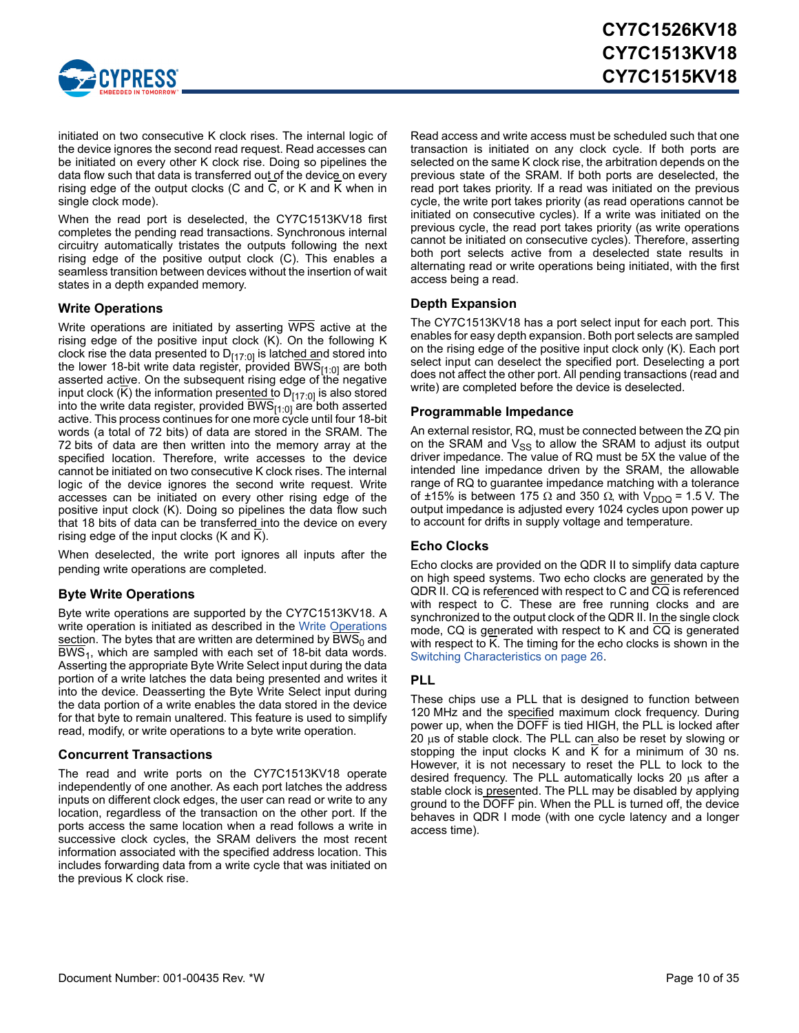

initiated on two consecutive K clock rises. The internal logic of the device ignores the second read request. Read accesses can be initiated on every other K clock rise. Doing so pipelines the data flow such that data is transferred out of the device on every rising edge of the output clocks (C and C, or K and K when in single clock mode).

When the read port is deselected, the CY7C1513KV18 first completes the pending read transactions. Synchronous internal circuitry automatically tristates the outputs following the next rising edge of the positive output clock (C). This enables a seamless transition between devices without the insertion of wait states in a depth expanded memory.

#### <span id="page-9-0"></span>**Write Operations**

Write operations are initiated by asserting WPS active at the rising edge of the positive input clock (K). On the following K clock rise the data presented to  $D_{[17:0]}$  is latched and stored into the lower 18-bit write data register, provided BWS $_{[1:0]}$  are both asserted active. On the subsequent rising edge of the negative input clock (K) the information presented to  $D_{[17:0]}$  is also stored into the write data register, provided BWS[1:0] are both asserted active. This process continues for one more cycle until four 18-bit words (a total of 72 bits) of data are stored in the SRAM. The 72 bits of data are then written into the memory array at the specified location. Therefore, write accesses to the device cannot be initiated on two consecutive K clock rises. The internal logic of the device ignores the second write request. Write accesses can be initiated on every other rising edge of the positive input clock (K). Doing so pipelines the data flow such that 18 bits of data can be transferred into the device on every rising edge of the input clocks (K and K).

When deselected, the write port ignores all inputs after the pending write operations are completed.

#### <span id="page-9-1"></span>**Byte Write Operations**

Byte write operations are supported by the CY7C1513KV18. A write operation is initiated as described in the [Write Operations](#page-9-0) section. The bytes that are written are determined by  $BWS<sub>0</sub>$  and BWS<sub>1</sub>, which are sampled with each set of 18-bit data words. Asserting the appropriate Byte Write Select input during the data portion of a write latches the data being presented and writes it into the device. Deasserting the Byte Write Select input during the data portion of a write enables the data stored in the device for that byte to remain unaltered. This feature is used to simplify read, modify, or write operations to a byte write operation.

#### <span id="page-9-2"></span>**Concurrent Transactions**

The read and write ports on the CY7C1513KV18 operate independently of one another. As each port latches the address inputs on different clock edges, the user can read or write to any location, regardless of the transaction on the other port. If the ports access the same location when a read follows a write in successive clock cycles, the SRAM delivers the most recent information associated with the specified address location. This includes forwarding data from a write cycle that was initiated on the previous K clock rise.

Read access and write access must be scheduled such that one transaction is initiated on any clock cycle. If both ports are selected on the same K clock rise, the arbitration depends on the previous state of the SRAM. If both ports are deselected, the read port takes priority. If a read was initiated on the previous cycle, the write port takes priority (as read operations cannot be initiated on consecutive cycles). If a write was initiated on the previous cycle, the read port takes priority (as write operations cannot be initiated on consecutive cycles). Therefore, asserting both port selects active from a deselected state results in alternating read or write operations being initiated, with the first access being a read.

#### <span id="page-9-3"></span>**Depth Expansion**

The CY7C1513KV18 has a port select input for each port. This enables for easy depth expansion. Both port selects are sampled on the rising edge of the positive input clock only (K). Each port select input can deselect the specified port. Deselecting a port does not affect the other port. All pending transactions (read and write) are completed before the device is deselected.

#### <span id="page-9-4"></span>**Programmable Impedance**

An external resistor, RQ, must be connected between the ZQ pin on the SRAM and  $V_{SS}$  to allow the SRAM to adjust its output driver impedance. The value of RQ must be 5X the value of the intended line impedance driven by the SRAM, the allowable range of RQ to guarantee impedance matching with a tolerance of ±15% is between 175  $\Omega$  and 350  $\Omega$ , with V<sub>DDQ</sub> = 1.5 V. The output impedance is adjusted every 1024 cycles upon power up to account for drifts in supply voltage and temperature.

#### <span id="page-9-5"></span>**Echo Clocks**

Echo clocks are provided on the QDR II to simplify data capture on high speed systems. Two echo clocks are generated by the QDR II. CQ is referenced with respect to C and CQ is referenced with respect to C. These are free running clocks and are synchronized to the output clock of the QDR II. In the single clock mode, CQ is generated with respect to K and CQ is generated with respect to K. The timing for the echo clocks is shown in the [Switching Characteristics on page 26](#page-25-0).

#### <span id="page-9-6"></span>**PLL**

These chips use a PLL that is designed to function between 120 MHz and the specified maximum clock frequency. During power up, when the DOFF is tied HIGH, the PLL is locked after 20  $\mu$ s of stable clock. The PLL can also be reset by slowing or stopping the input clocks K and K for a minimum of 30 ns. However, it is not necessary to reset the PLL to lock to the desired frequency. The PLL automatically locks 20  $\mu$ s after a stable clock is presented. The PLL may be disabled by applying ground to the DOFF pin. When the PLL is turned off, the device behaves in QDR I mode (with one cycle latency and a longer access time).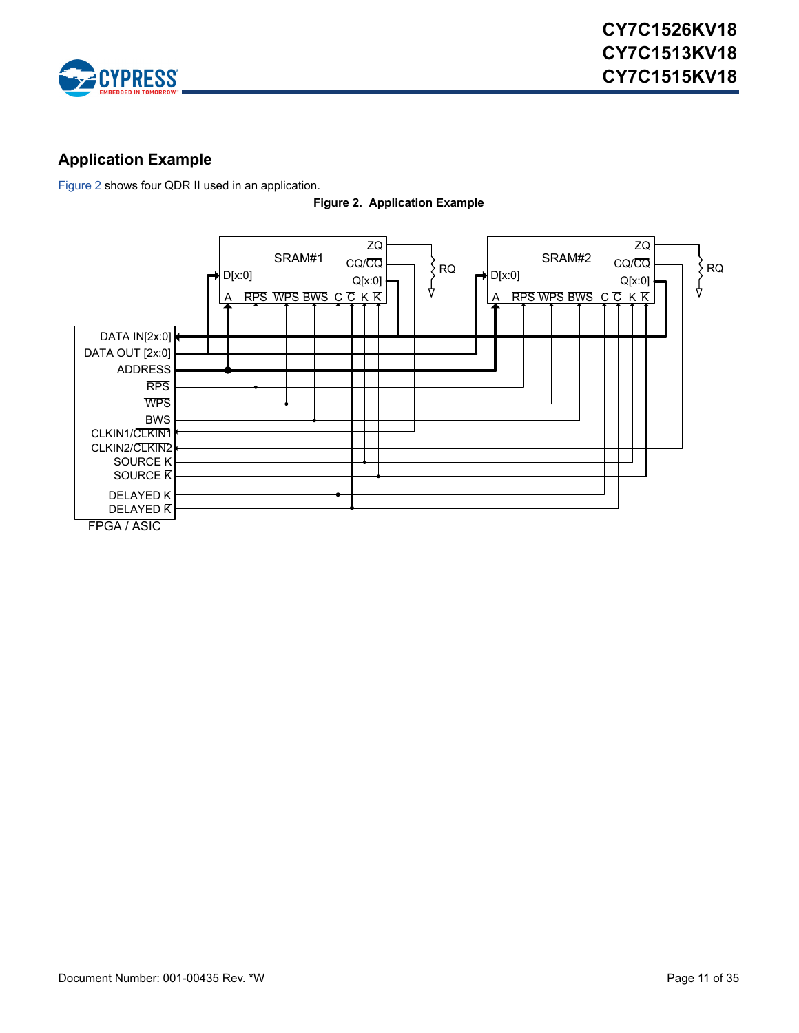

# <span id="page-10-0"></span>**Application Example**

<span id="page-10-1"></span>[Figure 2](#page-10-1) shows four QDR II used in an application.



**Figure 2. Application Example**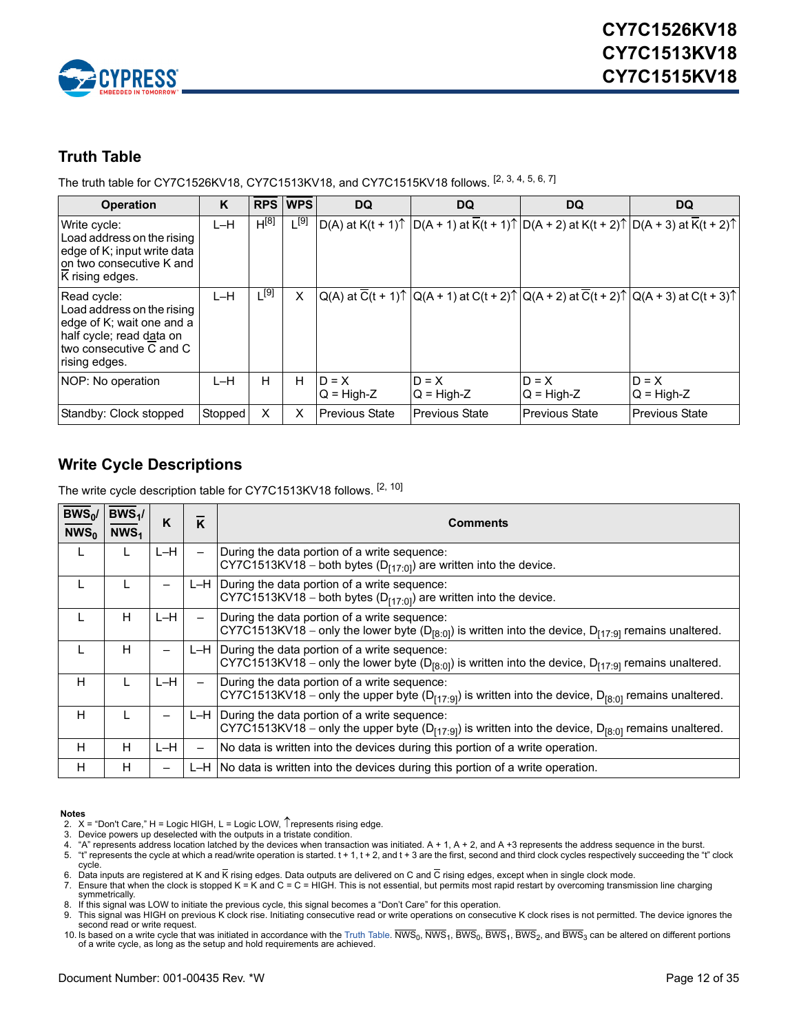

### <span id="page-11-0"></span>**Truth Table**

The truth table for CY7C1526KV18, CY7C1513KV18, and CY7C1515KV18 follows. [\[2](#page-11-2), [3](#page-11-3), [4](#page-11-4), [5](#page-11-5), [6](#page-11-6), [7](#page-11-7)]

| <b>Operation</b>                                                                                                                                 | K       |           | <b>RPS WPS</b> | <b>DQ</b>               | <b>DQ</b>                                                                                                                                                         | DQ                      | <b>DQ</b>               |
|--------------------------------------------------------------------------------------------------------------------------------------------------|---------|-----------|----------------|-------------------------|-------------------------------------------------------------------------------------------------------------------------------------------------------------------|-------------------------|-------------------------|
| Write cycle:<br>Load address on the rising<br>edge of K; input write data<br>Ion two consecutive K and<br>K rising edges.                        | $L-H$   | $H^{[8]}$ | $L^{[9]}$      |                         | $ D(A)$ at K(t + 1) $\uparrow$ $ D(A + 1)$ at $\overline{K}(t + 1)$ $\uparrow$ $ D(A + 2)$ at K(t + 2) $\uparrow$ $ D(A + 3)$ at $\overline{K}(t + 2)$ $\uparrow$ |                         |                         |
| Read cycle:<br>Load address on the rising<br>ledge of K; wait one and a<br>half cycle; read data on<br>Itwo consecutive C and C<br>rising edges. | L-H     | $L^{[9]}$ | X              |                         | $ Q(A)$ at $\overline{C}(t + 1)\uparrow$ $ Q(A + 1)$ at $C(t + 2)\uparrow$ $ Q(A + 2)$ at $\overline{C}(t + 2)\uparrow$ $ Q(A + 3)$ at $C(t + 3)\uparrow$         |                         |                         |
| NOP: No operation                                                                                                                                | $L-H$   | H.        | H              | $D = X$<br>$Q = High-Z$ | $D = X$<br>$Q = High-Z$                                                                                                                                           | $D = X$<br>$Q = High-Z$ | $D = X$<br>$Q = High-Z$ |
| Standby: Clock stopped                                                                                                                           | Stopped | X         | X              | <b>Previous State</b>   | <b>Previous State</b>                                                                                                                                             | <b>Previous State</b>   | <b>Previous State</b>   |

# <span id="page-11-1"></span>**Write Cycle Descriptions**

The write cycle description table for CY7C1513KV18 follows. [[2,](#page-11-2) [10\]](#page-11-10)

| $BWS_0/$<br>$NWS_0$ | $BWS_1/$<br>NWS <sub>1</sub> | K     | K                        | <b>Comments</b>                                                                                                                                                                 |
|---------------------|------------------------------|-------|--------------------------|---------------------------------------------------------------------------------------------------------------------------------------------------------------------------------|
| L                   | L                            | $L-H$ | —                        | During the data portion of a write sequence:<br>CY7C1513KV18 – both bytes ( $D_{[17:0]}$ ) are written into the device.                                                         |
| L                   | L                            |       |                          | $L-H$ During the data portion of a write sequence:<br>CY7C1513KV18 – both bytes ( $D_{[17:0]}$ ) are written into the device.                                                   |
| ┗                   | H                            | L-H   |                          | During the data portion of a write sequence:<br>CY7C1513KV18 – only the lower byte ( $D_{[8:0]}$ ) is written into the device, $D_{[17:9]}$ remains unaltered.                  |
| L                   | н                            |       |                          | L-H During the data portion of a write sequence:<br>CY7C1513KV18 – only the lower byte (D <sub>[8:0]</sub> ) is written into the device, D <sub>[17:9]</sub> remains unaltered. |
| н                   | L                            | L-H   | $\overline{\phantom{0}}$ | During the data portion of a write sequence:<br>CY7C1513KV18 – only the upper byte ( $D_{[17.9]}$ ) is written into the device, $D_{[8.0]}$ remains unaltered.                  |
| н                   | L                            |       |                          | L-H During the data portion of a write sequence:<br>CY7C1513KV18 – only the upper byte ( $D_{[17.9]}$ ) is written into the device, $D_{[8.0]}$ remains unaltered.              |
| н                   | H                            | L-H   | —                        | No data is written into the devices during this portion of a write operation.                                                                                                   |
| н                   | н                            |       |                          | $L-H$ No data is written into the devices during this portion of a write operation.                                                                                             |

#### **Notes**

- 
- <span id="page-11-5"></span><span id="page-11-4"></span><span id="page-11-3"></span>

<span id="page-11-2"></span>2. X = "Don't Care," H = Logic HIGH, L = Logic LOW, ↑represents rising edge.<br>3. Device powers up deselected with the outputs in a tristate condition.<br>4. "A" represents address location latched by the devices when tr 5. "t" represents the cycle at which a read/write operation is started. t + 1, t + 2, and t + 3 are the first, second and third clock cycles respectively succeeding the "t" clock cycle.

<span id="page-11-7"></span><span id="page-11-6"></span>6. Data inputs are registered at K and K rising edges. Data outputs are delivered on C and C rising edges, except when in single clock mode.<br>7. Ensure that when the clock is stopped K = K and C = C = HIGH. This is not es symmetrically.

<span id="page-11-8"></span>8. If this signal was LOW to initiate the previous cycle, this signal becomes a "Don't Care" for this operation.

<span id="page-11-9"></span>9. This signal was HIGH on previous K clock rise. Initiating consecutive read or write operations on consecutive K clock rises is not permitted. The device ignores the second read or write request.

<span id="page-11-10"></span>10. Is based on a write cycle that was initiated in accordance with the [Truth Table.](#page-11-0) NWS<sub>0</sub>, NWS<sub>1</sub>, BWS<sub>0</sub>, BWS<sub>2</sub>, and BWS<sub>3</sub> can be altered on different portions of a write cycle, as long as the setup and hold requirem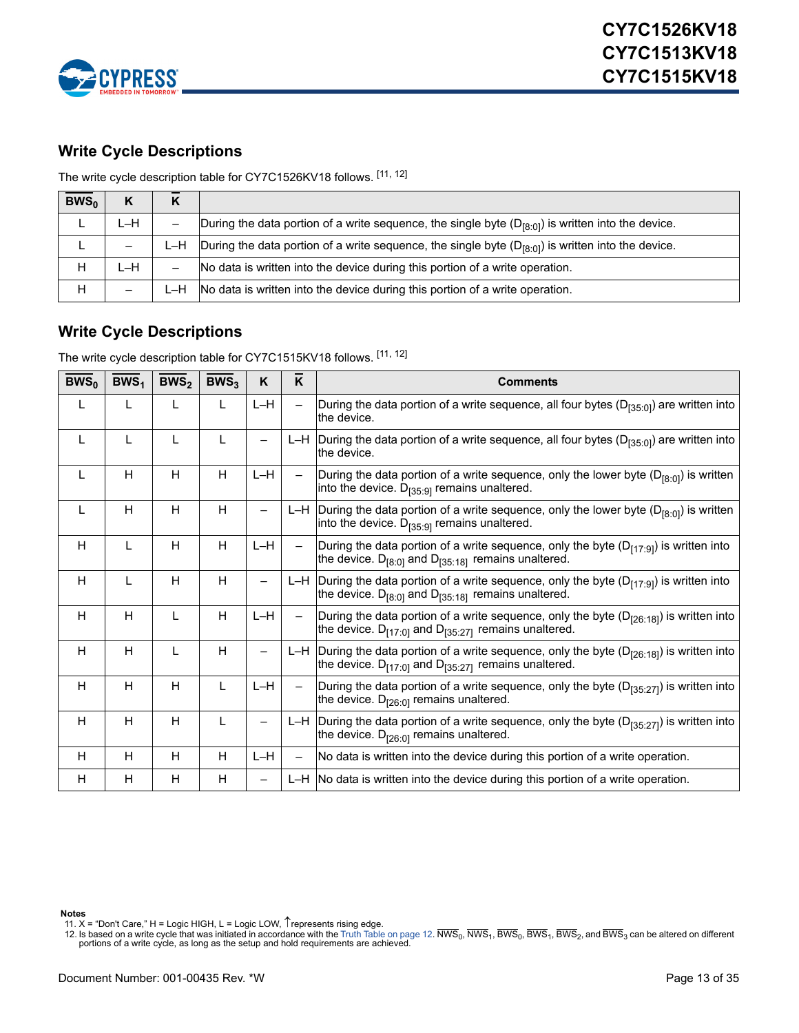

# <span id="page-12-0"></span>**Write Cycle Descriptions**

The write cycle description table for CY7C1526KV18 follows. [[11](#page-12-2), [12](#page-12-3)]

| $BWS_0$ | K   |       |                                                                                                        |
|---------|-----|-------|--------------------------------------------------------------------------------------------------------|
|         | L-H |       | During the data portion of a write sequence, the single byte $(D_{R:01})$ is written into the device.  |
|         |     | ∟–H⊥  | During the data portion of a write sequence, the single byte $(D_{[8:0]})$ is written into the device. |
| н       | L-H |       | No data is written into the device during this portion of a write operation.                           |
| Н       |     | ∟–H – | No data is written into the device during this portion of a write operation.                           |

# <span id="page-12-1"></span>**Write Cycle Descriptions**

The write cycle description table for CY7C1515KV18 follows. [[11](#page-12-2), [12](#page-12-3)]

| BWS <sub>0</sub> | BWS <sub>1</sub> | BWS <sub>2</sub> | BWS <sub>3</sub> | K                        | K                        | <b>Comments</b>                                                                                                                                                 |
|------------------|------------------|------------------|------------------|--------------------------|--------------------------|-----------------------------------------------------------------------------------------------------------------------------------------------------------------|
| L                | L                | $\mathbf{L}$     | L                | $L-H$                    | $\overline{\phantom{0}}$ | During the data portion of a write sequence, all four bytes ( $D_{[35:0]}$ ) are written into<br>the device.                                                    |
| L                | L                | L                | L                | $\overline{\phantom{0}}$ |                          | L-H During the data portion of a write sequence, all four bytes ( $D_{135:01}$ ) are written into<br>the device.                                                |
| L                | H                | H                | H                | $L-H$                    | $\qquad \qquad -$        | During the data portion of a write sequence, only the lower byte $(D_{[8:0]} )$ is written<br>into the device. $D_{[35:9]}$ remains unaltered.                  |
| L                | H                | H                | H                | $\overline{\phantom{0}}$ |                          | L-H During the data portion of a write sequence, only the lower byte ( $D_{[8:0]}$ ) is written<br>into the device. $D_{[35:9]}$ remains unaltered.             |
| H                | L                | H                | H                | $L-H$                    | $\overline{\phantom{0}}$ | During the data portion of a write sequence, only the byte $(D_{[17:9]})$ is written into<br>the device. $D_{[8:0]}$ and $D_{[35:18]}$ remains unaltered.       |
| H                | L                | H                | H                | -                        | L-H                      | During the data portion of a write sequence, only the byte $(D_{[17:9]})$ is written into<br>the device. $D_{[8:0]}$ and $D_{[35:18]}$ remains unaltered.       |
| H                | H                | L                | H                | $L-H$                    | $\overline{\phantom{0}}$ | During the data portion of a write sequence, only the byte ( $D_{[26:18]}$ ) is written into<br>the device. $D_{[17:0]}$ and $D_{[35:27]}$ remains unaltered.   |
| H                | H                | L                | H                | $\overline{\phantom{0}}$ |                          | L-H During the data portion of a write sequence, only the byte $(D_{[26:18]})$ is written into<br>the device. $D_{[17:0]}$ and $D_{[35:27]}$ remains unaltered. |
| H                | H                | H                | L                | L-H                      | $\overline{\phantom{0}}$ | During the data portion of a write sequence, only the byte ( $D_{[35:27]}$ ) is written into<br>the device. $D_{[26:0]}$ remains unaltered.                     |
| H                | H                | H                | L                | $\qquad \qquad -$        |                          | L-H During the data portion of a write sequence, only the byte ( $D_{[35:27]}$ ) is written into<br>the device. $D_{[26:0]}$ remains unaltered.                 |
| H                | H                | H                | H                | $L-H$                    | $\overline{\phantom{0}}$ | No data is written into the device during this portion of a write operation.                                                                                    |
| H                | H                | H                | H                | $\overline{\phantom{0}}$ |                          | L-H No data is written into the device during this portion of a write operation.                                                                                |

**Notes**

<span id="page-12-2"></span>11.  $X =$  "Don't Care," H = Logic HIGH, L = Logic LOW,  $\hat{\Gamma}$  represents rising edge.

<span id="page-12-3"></span>12. Is based on a write cycle that was initiated in accordance with the [Truth Table on page 12.](#page-11-0) NWS<sub>0</sub>, NWS<sub>1</sub>, BWS<sub>0</sub>, BWS<sub>1</sub>, BWS<sub>2</sub>, and BWS<sub>3</sub> can be altered on different portions of a write cycle, as long as the setup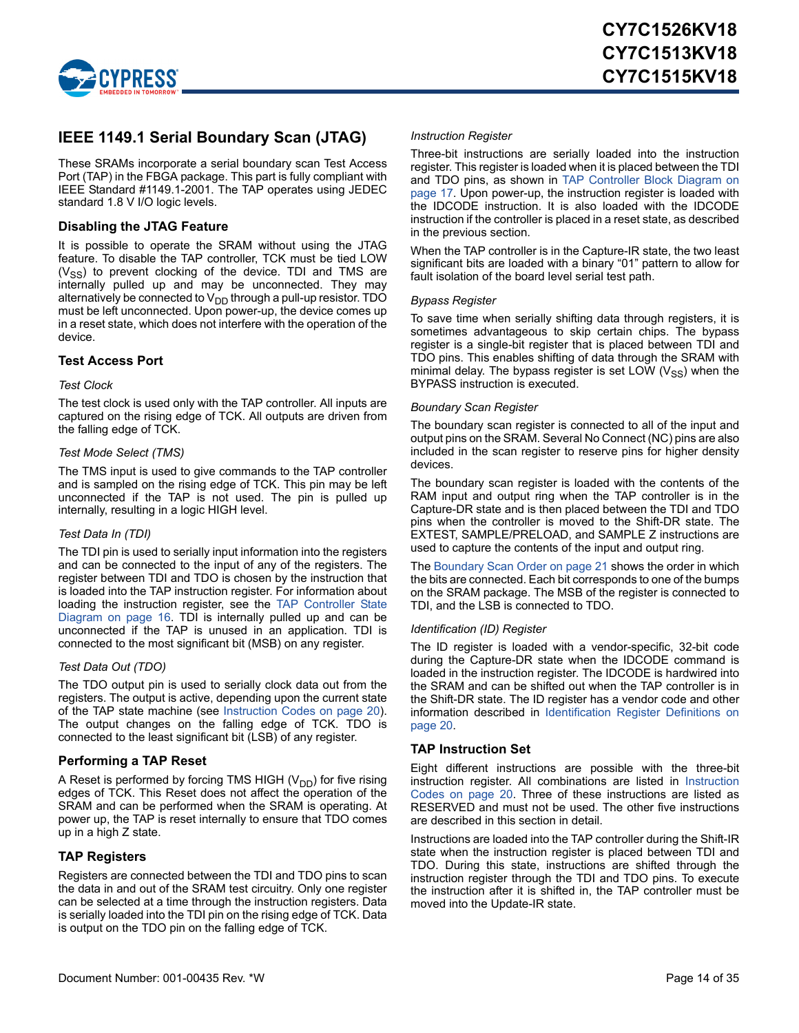

### <span id="page-13-0"></span>**IEEE 1149.1 Serial Boundary Scan (JTAG)**

These SRAMs incorporate a serial boundary scan Test Access Port (TAP) in the FBGA package. This part is fully compliant with IEEE Standard #1149.1-2001. The TAP operates using JEDEC standard 1.8 V I/O logic levels.

#### <span id="page-13-1"></span>**Disabling the JTAG Feature**

It is possible to operate the SRAM without using the JTAG feature. To disable the TAP controller, TCK must be tied LOW  $(V_{SS})$  to prevent clocking of the device. TDI and TMS are internally pulled up and may be unconnected. They may alternatively be connected to  $V_{DD}$  through a pull-up resistor. TDO must be left unconnected. Upon power-up, the device comes up in a reset state, which does not interfere with the operation of the device.

#### <span id="page-13-2"></span>**Test Access Port**

#### *Test Clock*

The test clock is used only with the TAP controller. All inputs are captured on the rising edge of TCK. All outputs are driven from the falling edge of TCK.

#### *Test Mode Select (TMS)*

The TMS input is used to give commands to the TAP controller and is sampled on the rising edge of TCK. This pin may be left unconnected if the TAP is not used. The pin is pulled up internally, resulting in a logic HIGH level.

#### *Test Data In (TDI)*

The TDI pin is used to serially input information into the registers and can be connected to the input of any of the registers. The register between TDI and TDO is chosen by the instruction that is loaded into the TAP instruction register. For information about loading the instruction register, see the [TAP Controller State](#page-15-0) [Diagram on page 16.](#page-15-0) TDI is internally pulled up and can be unconnected if the TAP is unused in an application. TDI is connected to the most significant bit (MSB) on any register.

#### *Test Data Out (TDO)*

The TDO output pin is used to serially clock data out from the registers. The output is active, depending upon the current state of the TAP state machine (see [Instruction Codes on page 20](#page-19-2)). The output changes on the falling edge of TCK. TDO is connected to the least significant bit (LSB) of any register.

#### <span id="page-13-3"></span>**Performing a TAP Reset**

A Reset is performed by forcing TMS HIGH  $(V_{DD})$  for five rising edges of TCK. This Reset does not affect the operation of the SRAM and can be performed when the SRAM is operating. At power up, the TAP is reset internally to ensure that TDO comes up in a high Z state.

#### <span id="page-13-4"></span>**TAP Registers**

Registers are connected between the TDI and TDO pins to scan the data in and out of the SRAM test circuitry. Only one register can be selected at a time through the instruction registers. Data is serially loaded into the TDI pin on the rising edge of TCK. Data is output on the TDO pin on the falling edge of TCK.

#### *Instruction Register*

Three-bit instructions are serially loaded into the instruction register. This register is loaded when it is placed between the TDI and TDO pins, as shown in [TAP Controller Block Diagram on](#page-16-0) [page 17](#page-16-0). Upon power-up, the instruction register is loaded with the IDCODE instruction. It is also loaded with the IDCODE instruction if the controller is placed in a reset state, as described in the previous section.

When the TAP controller is in the Capture-IR state, the two least significant bits are loaded with a binary "01" pattern to allow for fault isolation of the board level serial test path.

#### *Bypass Register*

To save time when serially shifting data through registers, it is sometimes advantageous to skip certain chips. The bypass register is a single-bit register that is placed between TDI and TDO pins. This enables shifting of data through the SRAM with minimal delay. The bypass register is set LOW  $(V_{SS})$  when the BYPASS instruction is executed.

#### *Boundary Scan Register*

The boundary scan register is connected to all of the input and output pins on the SRAM. Several No Connect (NC) pins are also included in the scan register to reserve pins for higher density devices.

The boundary scan register is loaded with the contents of the RAM input and output ring when the TAP controller is in the Capture-DR state and is then placed between the TDI and TDO pins when the controller is moved to the Shift-DR state. The EXTEST, SAMPLE/PRELOAD, and SAMPLE Z instructions are used to capture the contents of the input and output ring.

The [Boundary Scan Order on page 21](#page-20-0) shows the order in which the bits are connected. Each bit corresponds to one of the bumps on the SRAM package. The MSB of the register is connected to TDI, and the LSB is connected to TDO.

#### *Identification (ID) Register*

The ID register is loaded with a vendor-specific, 32-bit code during the Capture-DR state when the IDCODE command is loaded in the instruction register. The IDCODE is hardwired into the SRAM and can be shifted out when the TAP controller is in the Shift-DR state. The ID register has a vendor code and other information described in [Identification Register Definitions on](#page-19-0) [page 20](#page-19-0).

#### <span id="page-13-5"></span>**TAP Instruction Set**

Eight different instructions are possible with the three-bit instruction register. All combinations are listed in [Instruction](#page-19-2) [Codes on page 20](#page-19-2). Three of these instructions are listed as RESERVED and must not be used. The other five instructions are described in this section in detail.

Instructions are loaded into the TAP controller during the Shift-IR state when the instruction register is placed between TDI and TDO. During this state, instructions are shifted through the instruction register through the TDI and TDO pins. To execute the instruction after it is shifted in, the TAP controller must be moved into the Update-IR state.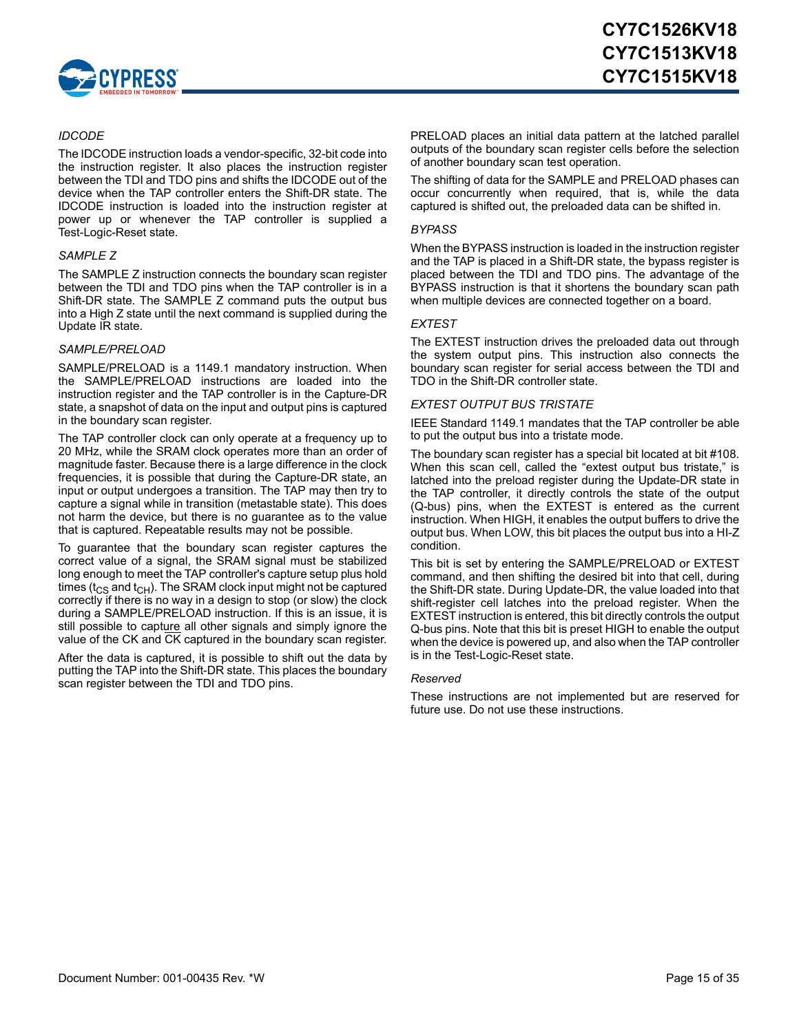

#### *IDCODE*

The IDCODE instruction loads a vendor-specific, 32-bit code into the instruction register. It also places the instruction register between the TDI and TDO pins and shifts the IDCODE out of the device when the TAP controller enters the Shift-DR state. The IDCODE instruction is loaded into the instruction register at power up or whenever the TAP controller is supplied a Test-Logic-Reset state.

#### *SAMPLE Z*

The SAMPLE Z instruction connects the boundary scan register between the TDI and TDO pins when the TAP controller is in a Shift-DR state. The SAMPLE Z command puts the output bus into a High Z state until the next command is supplied during the Update IR state.

#### *SAMPLE/PRELOAD*

SAMPLE/PRELOAD is a 1149.1 mandatory instruction. When the SAMPLE/PRELOAD instructions are loaded into the instruction register and the TAP controller is in the Capture-DR state, a snapshot of data on the input and output pins is captured in the boundary scan register.

The TAP controller clock can only operate at a frequency up to 20 MHz, while the SRAM clock operates more than an order of magnitude faster. Because there is a large difference in the clock frequencies, it is possible that during the Capture-DR state, an input or output undergoes a transition. The TAP may then try to capture a signal while in transition (metastable state). This does not harm the device, but there is no guarantee as to the value that is captured. Repeatable results may not be possible.

To guarantee that the boundary scan register captures the correct value of a signal, the SRAM signal must be stabilized long enough to meet the TAP controller's capture setup plus hold times ( $t_{CS}$  and  $t_{CH}$ ). The SRAM clock input might not be captured correctly if there is no way in a design to stop (or slow) the clock during a SAMPLE/PRELOAD instruction. If this is an issue, it is still possible to capture all other signals and simply ignore the value of the CK and CK captured in the boundary scan register.

After the data is captured, it is possible to shift out the data by putting the TAP into the Shift-DR state. This places the boundary scan register between the TDI and TDO pins.

PRELOAD places an initial data pattern at the latched parallel outputs of the boundary scan register cells before the selection of another boundary scan test operation.

The shifting of data for the SAMPLE and PRELOAD phases can occur concurrently when required, that is, while the data captured is shifted out, the preloaded data can be shifted in.

#### *BYPASS*

When the BYPASS instruction is loaded in the instruction register and the TAP is placed in a Shift-DR state, the bypass register is placed between the TDI and TDO pins. The advantage of the BYPASS instruction is that it shortens the boundary scan path when multiple devices are connected together on a board.

#### *EXTEST*

The EXTEST instruction drives the preloaded data out through the system output pins. This instruction also connects the boundary scan register for serial access between the TDI and TDO in the Shift-DR controller state.

#### *EXTEST OUTPUT BUS TRISTATE*

IEEE Standard 1149.1 mandates that the TAP controller be able to put the output bus into a tristate mode.

The boundary scan register has a special bit located at bit #108. When this scan cell, called the "extest output bus tristate," is latched into the preload register during the Update-DR state in the TAP controller, it directly controls the state of the output (Q-bus) pins, when the EXTEST is entered as the current instruction. When HIGH, it enables the output buffers to drive the output bus. When LOW, this bit places the output bus into a HI-Z condition.

This bit is set by entering the SAMPLE/PRELOAD or EXTEST command, and then shifting the desired bit into that cell, during the Shift-DR state. During Update-DR, the value loaded into that shift-register cell latches into the preload register. When the EXTEST instruction is entered, this bit directly controls the output Q-bus pins. Note that this bit is preset HIGH to enable the output when the device is powered up, and also when the TAP controller is in the Test-Logic-Reset state.

#### *Reserved*

These instructions are not implemented but are reserved for future use. Do not use these instructions.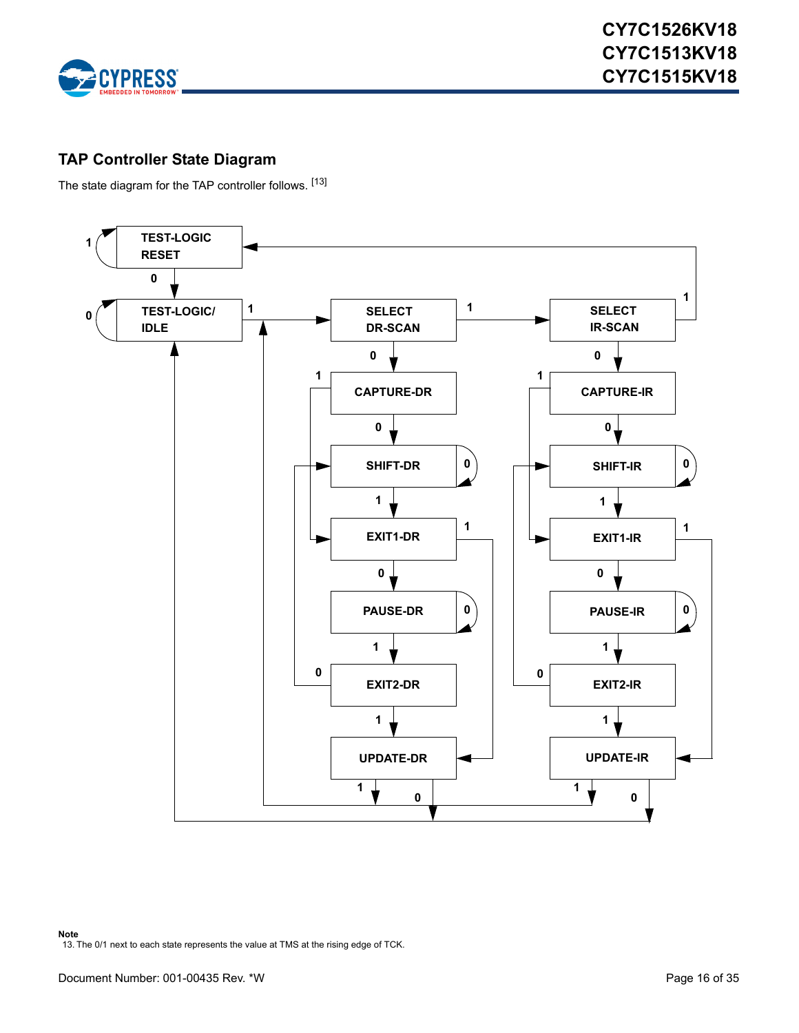

# <span id="page-15-0"></span>**TAP Controller State Diagram**

The state diagram for the TAP controller follows. [[13\]](#page-15-1)

<span id="page-15-1"></span>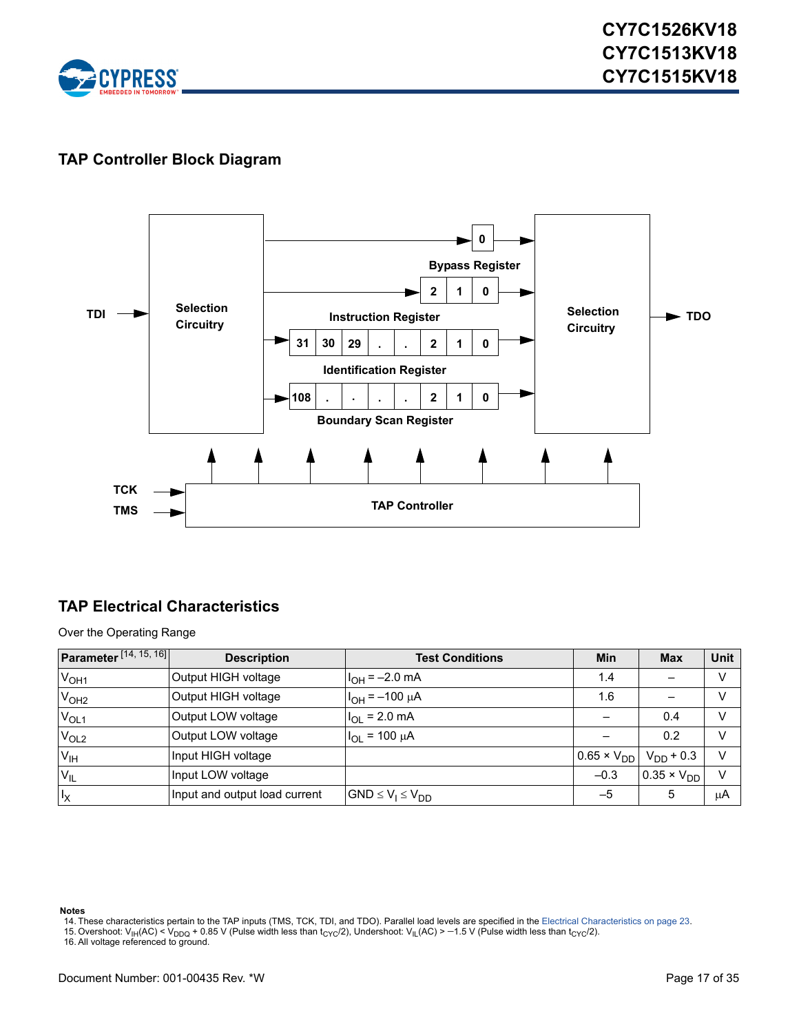

# <span id="page-16-0"></span>**TAP Controller Block Diagram**



# <span id="page-16-1"></span>**TAP Electrical Characteristics**

Over the Operating Range

| <b>Parameter</b> $[14, 15, 16]$ | <b>Description</b>            | <b>Test Conditions</b>   | <b>Min</b>           | <b>Max</b>           | <b>Unit</b>   |
|---------------------------------|-------------------------------|--------------------------|----------------------|----------------------|---------------|
| V <sub>OH1</sub>                | Output HIGH voltage           | $I_{OH} = -2.0$ mA       | 1.4                  |                      | v             |
| V <sub>OH2</sub>                | Output HIGH voltage           | $I_{OH} = -100 \mu A$    | 1.6                  |                      | v             |
| $V_{OL1}$                       | Output LOW voltage            | $I_{OL}$ = 2.0 mA        |                      | 0.4                  | v             |
| V <sub>OL2</sub>                | Output LOW voltage            | $I_{OL}$ = 100 $\mu$ A   |                      | 0.2                  | v             |
| V <sub>IH</sub>                 | Input HIGH voltage            |                          | $0.65 \times V_{DD}$ | $V_{DD}$ + 0.3       | $\mathcal{V}$ |
| $V_{IL}$                        | Input LOW voltage             |                          | $-0.3$               | $0.35 \times V_{DD}$ | $\mathcal{U}$ |
| $I_X$                           | Input and output load current | $GND \le V_1 \le V_{DD}$ | $-5$                 | 5                    | $\mu$ A       |

#### **Notes**

- <span id="page-16-2"></span>14. These characteristics pertain to the TAP inputs (TMS, TCK, TDI, and TDO). Parallel load levels are specified in the [Electrical Characteristics on page 23.](#page-22-3)
- <span id="page-16-3"></span>15. Overshoot: V<sub>IH</sub>(AC) < V<sub>DDQ</sub> + 0.85 V (Pulse width less than t<sub>CYC</sub>/2), Undershoot: V<sub>IL</sub>(AC) > −1.5 V (Pulse width less than t<sub>CYC</sub>/2).<br>16. All voltage referenced to ground.
- <span id="page-16-4"></span>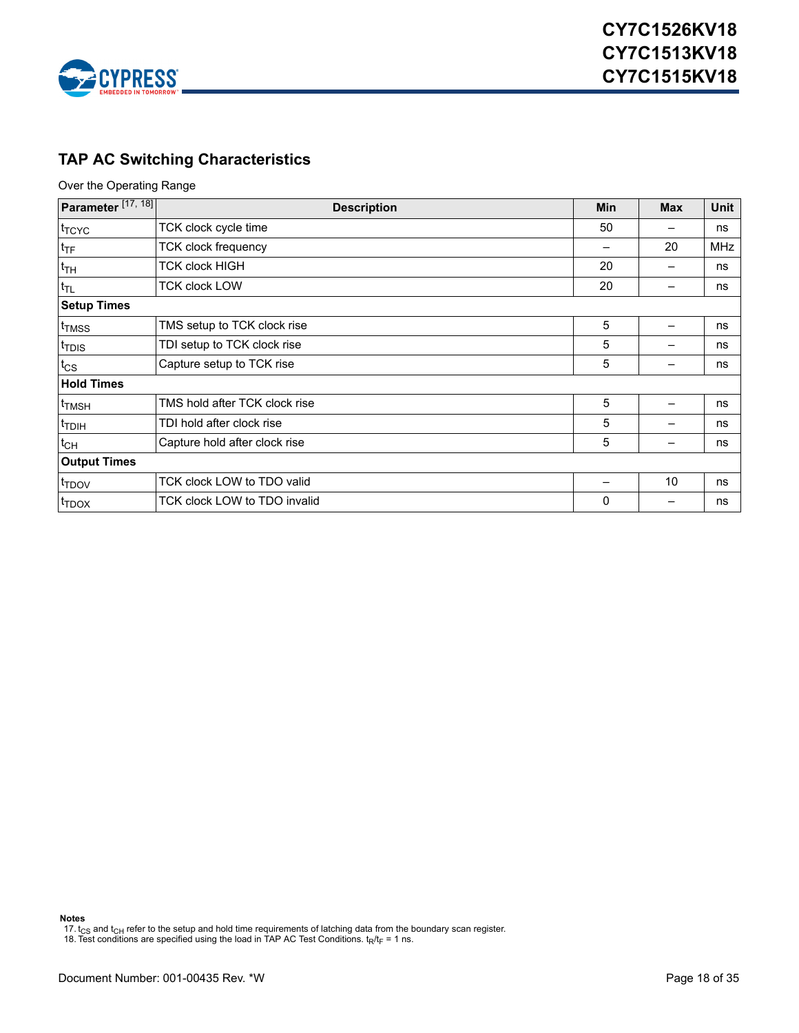

# <span id="page-17-0"></span>**TAP AC Switching Characteristics**

Over the Operating Range

| Parameter <sup>[17, 18]</sup> | <b>Description</b>            |              | <b>Max</b> | Unit       |
|-------------------------------|-------------------------------|--------------|------------|------------|
| t <sub>TCYC</sub>             | TCK clock cycle time          | 50           |            | ns         |
| $t_{\text{TF}}$               | TCK clock frequency           |              | 20         | <b>MHz</b> |
| $t_{TH}$                      | TCK clock HIGH                | 20           |            | ns         |
| $t_{TL}$                      | <b>TCK clock LOW</b>          | 20           |            | ns         |
| <b>Setup Times</b>            |                               |              |            |            |
| <sup>t</sup> TMSS             | TMS setup to TCK clock rise   | 5            |            | ns         |
| t <sub>TDIS</sub>             | TDI setup to TCK clock rise   | 5            |            | ns         |
| $t_{\text{CS}}$               | Capture setup to TCK rise     | 5            |            | ns         |
| <b>Hold Times</b>             |                               |              |            |            |
| <sup>t</sup> TMSH             | TMS hold after TCK clock rise | 5            |            | ns         |
| <sup>t</sup> TDIH             | TDI hold after clock rise     | 5            |            | ns         |
| $t_{CH}$                      | Capture hold after clock rise | 5            |            | ns         |
| <b>Output Times</b>           |                               |              |            |            |
| t <sub>TDOV</sub>             | TCK clock LOW to TDO valid    |              | 10         | ns         |
| <sup>I</sup> TDOX             | TCK clock LOW to TDO invalid  | $\mathbf{0}$ |            | ns         |

**Notes**

<span id="page-17-1"></span>17.  $t_{\text{CS}}$  and  $t_{\text{CH}}$  refer to the setup and hold time requirements of latching data from the boundary scan register.

<span id="page-17-2"></span>18. Test conditions are specified using the load in TAP AC Test Conditions.  $t_R/t_F = 1$  ns.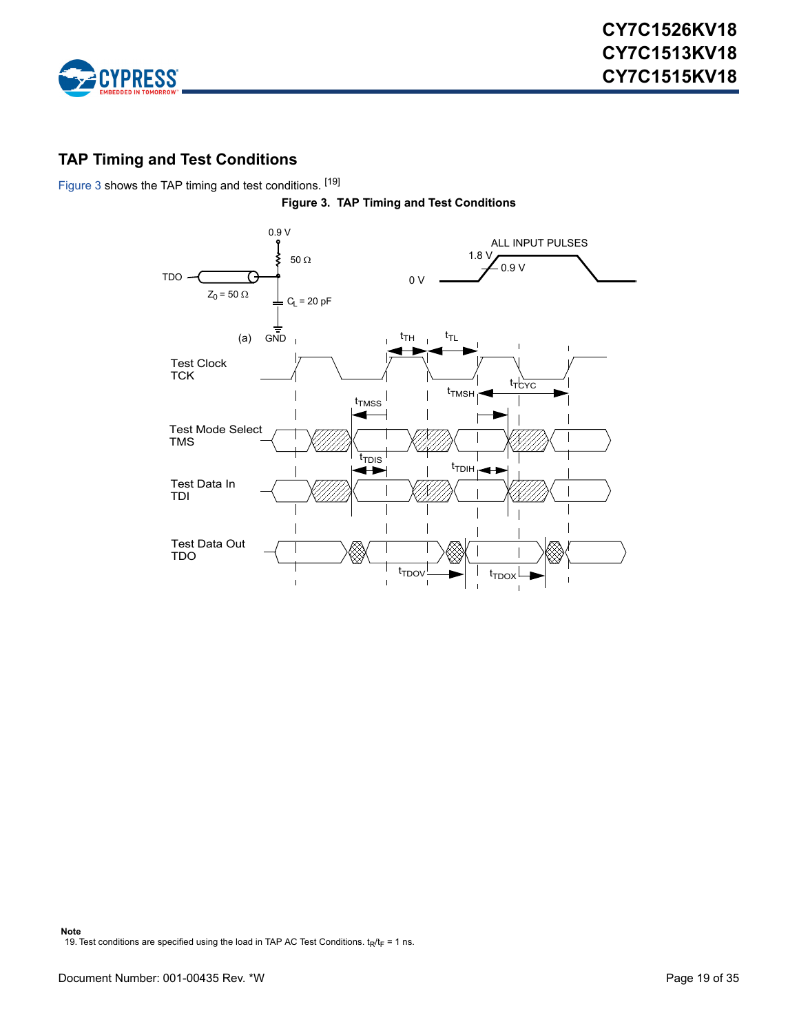

# <span id="page-18-0"></span>**TAP Timing and Test Conditions**

<span id="page-18-1"></span>[Figure 3](#page-18-1) shows the TAP timing and test conditions. [[19\]](#page-18-2)



<span id="page-18-2"></span>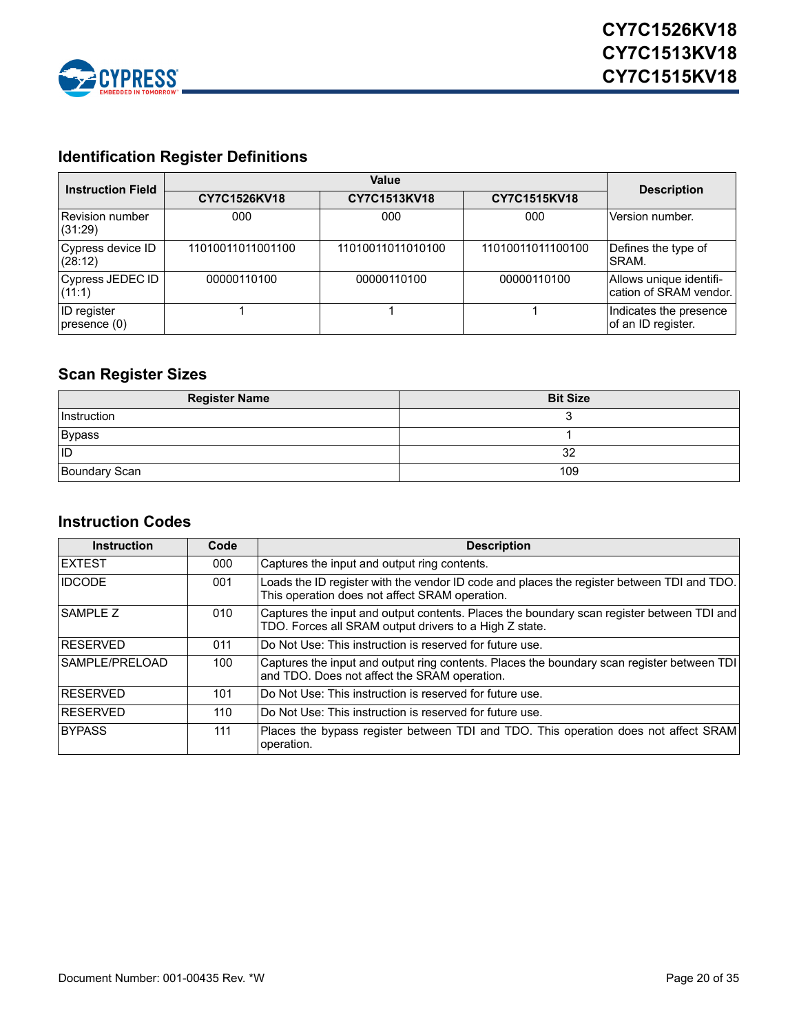

# <span id="page-19-0"></span>**Identification Register Definitions**

| <b>Instruction Field</b>           |                   | <b>Description</b> |                   |                                                   |
|------------------------------------|-------------------|--------------------|-------------------|---------------------------------------------------|
|                                    | CY7C1526KV18      | CY7C1513KV18       | CY7C1515KV18      |                                                   |
| Revision number<br>(31:29)         | 000               | 000                | 000               | Version number.                                   |
| Cypress device ID<br>(28:12)       | 11010011011001100 | 11010011011010100  | 11010011011100100 | Defines the type of<br>SRAM.                      |
| Cypress JEDEC ID<br>(11:1)         | 00000110100       | 00000110100        | 00000110100       | Allows unique identifi-<br>cation of SRAM vendor. |
| <b>ID</b> register<br>presence (0) |                   |                    |                   | Indicates the presence<br>of an ID register.      |

# <span id="page-19-1"></span>**Scan Register Sizes**

| <b>Register Name</b> | <b>Bit Size</b> |
|----------------------|-----------------|
| Instruction          |                 |
| Bypass               |                 |
| <b>ID</b>            | 32              |
| Boundary Scan        | 109             |

#### <span id="page-19-2"></span>**Instruction Codes**

| <b>Instruction</b> | Code | <b>Description</b>                                                                                                                                  |
|--------------------|------|-----------------------------------------------------------------------------------------------------------------------------------------------------|
| <b>IEXTEST</b>     | 000  | Captures the input and output ring contents.                                                                                                        |
| <b>IDCODE</b>      | 001  | Loads the ID register with the vendor ID code and places the register between TDI and TDO.<br>This operation does not affect SRAM operation.        |
| <b>SAMPLE Z</b>    | 010  | Captures the input and output contents. Places the boundary scan register between TDI and<br>TDO. Forces all SRAM output drivers to a High Z state. |
| <b>RESERVED</b>    | 011  | Do Not Use: This instruction is reserved for future use.                                                                                            |
| ISAMPLE/PRELOAD    | 100  | Captures the input and output ring contents. Places the boundary scan register between TDI<br>and TDO. Does not affect the SRAM operation.          |
| <b>RESERVED</b>    | 101  | Do Not Use: This instruction is reserved for future use.                                                                                            |
| <b>RESERVED</b>    | 110  | Do Not Use: This instruction is reserved for future use.                                                                                            |
| <b>BYPASS</b>      | 111  | Places the bypass register between TDI and TDO. This operation does not affect SRAM<br>operation.                                                   |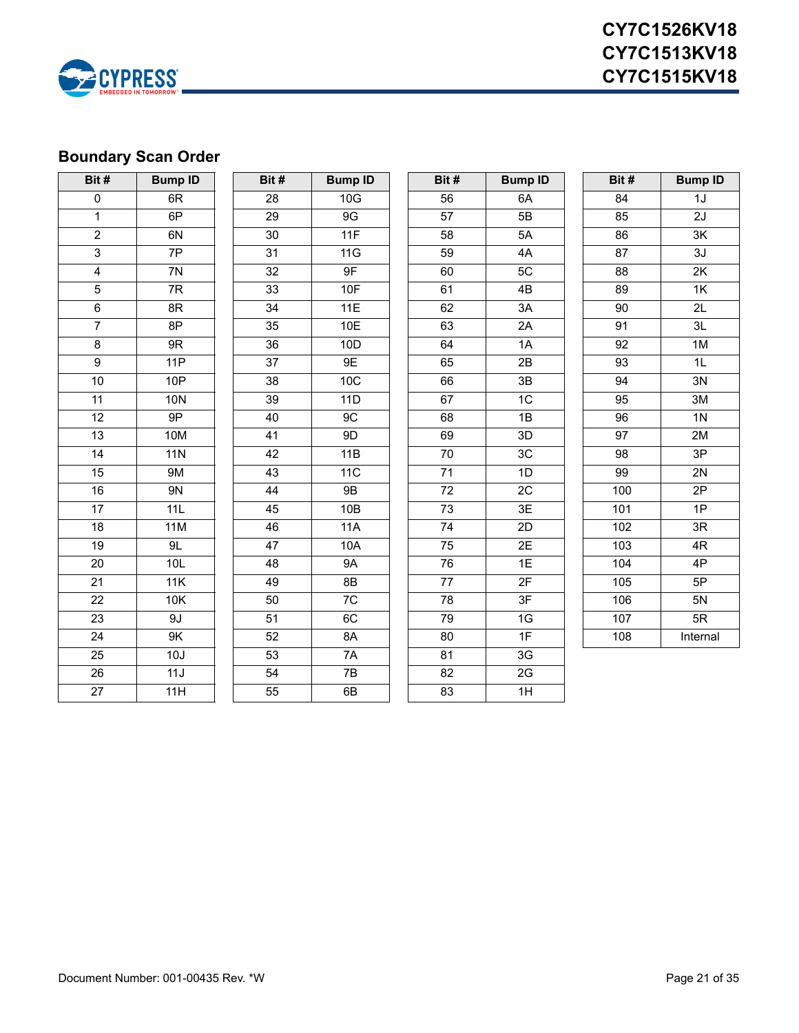

# <span id="page-20-0"></span>**Boundary Scan Order**

| Bit#            | <b>Bump ID</b>  | Bit#            | <b>Bump ID</b> | Bit#            | <b>Bump ID</b> | Bit#            | <b>Bump ID</b>  |
|-----------------|-----------------|-----------------|----------------|-----------------|----------------|-----------------|-----------------|
| $\pmb{0}$       | 6R              | 28              | 10G            | 56              | 6A             | 84              | 1J              |
| $\mathbf 1$     | 6P              | 29              | 9G             | 57              | 5B             | 85              | 2J              |
| $\overline{2}$  | 6N              | 30              | 11F            | 58              | 5A             | 86              | $3\mathsf{K}$   |
| $\overline{3}$  | $\overline{7P}$ | 31              | 11G            | 59              | 4A             | 87              | $\overline{3}J$ |
| $\overline{4}$  | 7N              | $\overline{32}$ | 9F             | 60              | 5C             | 88              | 2K              |
| $\overline{5}$  | 7R              | 33              | <b>10F</b>     | 61              | 4B             | 89              | 1K              |
| $\overline{6}$  | 8R              | $\overline{34}$ | 11E            | 62              | 3A             | 90              | $\overline{2L}$ |
| $\overline{7}$  | 8P              | 35              | 10E            | 63              | 2A             | 91              | 3L              |
| $\bf 8$         | $9{\sf R}$      | $\overline{36}$ | 10D            | 64              | 1A             | 92              | $1M$            |
| $\overline{9}$  | 11P             | $\overline{37}$ | 9E             | 65              | 2B             | 93              | $\overline{1}$  |
| 10              | 10P             | 38              | 10C            | 66              | 3B             | 94              | 3N              |
| 11              | <b>10N</b>      | 39              | 11D            | 67              | 1C             | 95              | $\overline{3M}$ |
| 12              | 9P              | 40              | 9C             | 68              | 1B             | 96              | 1 <sub>N</sub>  |
| $\overline{13}$ | <b>10M</b>      | 41              | 9D             | 69              | 3D             | $\overline{97}$ | 2M              |
| 14              | <b>11N</b>      | 42              | 11B            | $\overline{70}$ | 3C             | 98              | $\overline{3P}$ |
| 15              | <b>9M</b>       | 43              | 11C            | $\overline{71}$ | 1D             | 99              | 2N              |
| 16              | 9N              | 44              | <b>9B</b>      | 72              | 2C             | 100             | 2P              |
| $\overline{17}$ | 11L             | 45              | 10B            | 73              | 3E             | 101             | $\overline{1P}$ |
| 18              | 11M             | 46              | 11A            | 74              | 2D             | 102             | 3R              |
| 19              | 9L              | 47              | 10A            | $\overline{75}$ | 2E             | 103             | 4R              |
| 20              | 10L             | 48              | <b>9A</b>      | 76              | 1E             | 104             | 4P              |
| $\overline{21}$ | 11K             | 49              | 8B             | $\overline{77}$ | 2F             | 105             | 5P              |
| 22              | 10K             | 50              | 7C             | 78              | 3F             | 106             | 5N              |
| $\overline{23}$ | 9J              | 51              | 6C             | 79              | 1G             | 107             | 5R              |
| $\overline{24}$ | 9K              | 52              | 8A             | 80              | 1F             | 108             | Internal        |
| $\overline{25}$ | 10J             | 53              | 7A             | 81              | 3G             |                 |                 |
| $\overline{26}$ | 11J             | 54              | 7B             | 82              | 2G             |                 |                 |
| $\overline{27}$ | 11H             | 55              | 6B             | 83              | 1H             |                 |                 |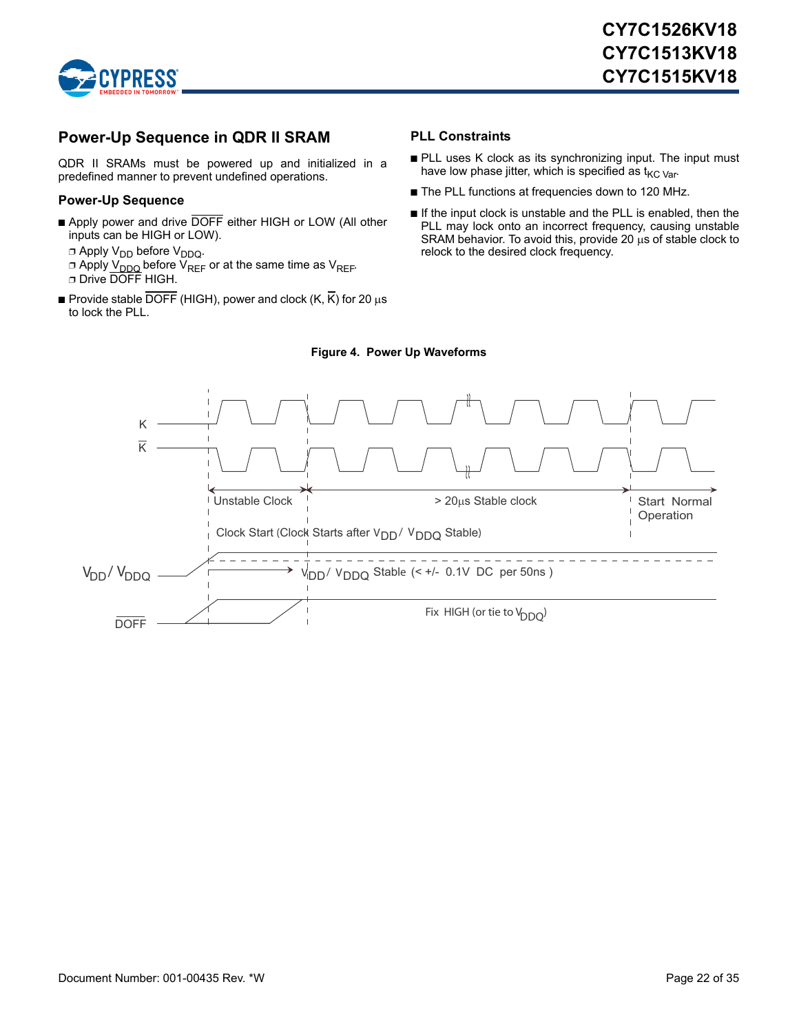

# <span id="page-21-0"></span>**Power-Up Sequence in QDR II SRAM**

QDR II SRAMs must be powered up and initialized in a predefined manner to prevent undefined operations.

#### <span id="page-21-1"></span>**Power-Up Sequence**

- Apply power and drive DOFF either HIGH or LOW (All other inputs can be HIGH or LOW).
	- $\Box$  Apply V<sub>DD</sub> before V<sub>DDQ</sub>.
	- □ Apply V<sub>DDQ</sub> before V<sub>REF</sub> or at the same time as V<sub>REF</sub>. ❐ Drive DOFF HIGH.
- **Provide stable DOFF** (HIGH), power and clock  $(K, \overline{K})$  for 20  $\mu s$ to lock the PLL.

#### <span id="page-21-2"></span>**PLL Constraints**

- PLL uses K clock as its synchronizing input. The input must have low phase jitter, which is specified as  $t_{\text{KC Var}}$ .
- The PLL functions at frequencies down to 120 MHz.
- If the input clock is unstable and the PLL is enabled, then the PLL may lock onto an incorrect frequency, causing unstable SRAM behavior. To avoid this, provide 20  $\mu$ s of stable clock to relock to the desired clock frequency.

<span id="page-21-3"></span>

#### **Figure 4. Power Up Waveforms**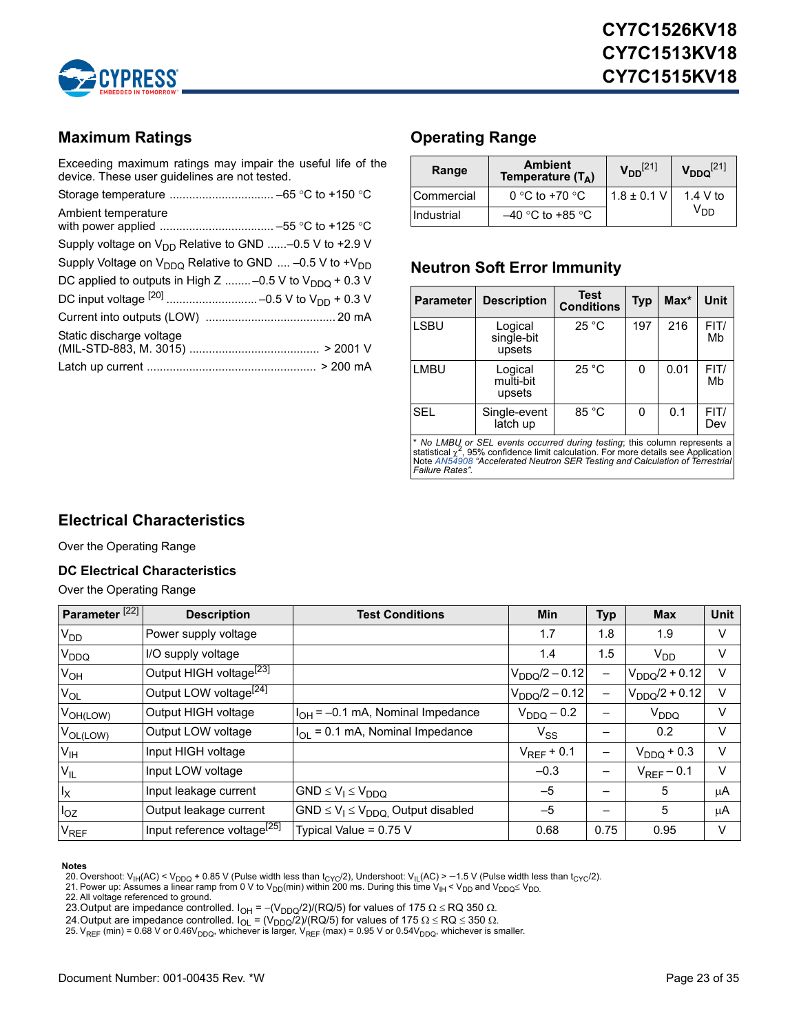

# <span id="page-22-0"></span>**Maximum Ratings**

Exceeding maximum ratings may impair the useful life of the device. These user guidelines are not tested.

| Ambient temperature                                               |
|-------------------------------------------------------------------|
| Supply voltage on $V_{DD}$ Relative to GND -0.5 V to +2.9 V       |
| Supply Voltage on $V_{DDO}$ Relative to GND  -0.5 V to + $V_{DD}$ |
| DC applied to outputs in High Z  -0.5 V to $V_{DDO}$ + 0.3 V      |
|                                                                   |
|                                                                   |
| Static discharge voltage                                          |
|                                                                   |

# <span id="page-22-1"></span>**Operating Range**

| <b>Ambient</b><br>Range<br>Temperature $(T_A)$ |                    | $V_{DD}^{[21]}$ | $V_{DDQ}^{[21]}$ |
|------------------------------------------------|--------------------|-----------------|------------------|
| Commercial                                     | 0 °C to +70 °C     | $1.8 \pm 0.1$ V | 1.4 V to         |
| Industrial                                     | $-40$ °C to +85 °C |                 | V <sub>DD</sub>  |

# <span id="page-22-2"></span>**Neutron Soft Error Immunity**

| <b>Parameter</b> | <b>Description</b>              | <b>Test</b><br><b>Conditions</b> | <b>Typ</b> | $Max^*$ | Unit        |
|------------------|---------------------------------|----------------------------------|------------|---------|-------------|
| <b>LSBU</b>      | Logical<br>single-bit<br>upsets | 25 °C                            | 197        | 216     | FIT/<br>Mb  |
| <b>LMBU</b>      | Logical<br>multi-bit<br>upsets  | 25 °C                            | 0          | 0.01    | FIT/<br>Mb  |
| <b>SEL</b>       | Single-event<br>latch up        | 85 °C                            | 0          | 0.1     | FIT/<br>Dev |

\* *No LMBU or SEL events occurred during testing*; this column represents a<br>statistical <sub>X</sub>°, 95% confidence limit calculation. For more details see Application<br>Note [AN54908](http://www.cypress.com/?rID=38369) "Accelerated Neutron SER Testing and Calculation

# <span id="page-22-3"></span>**Electrical Characteristics**

Over the Operating Range

#### <span id="page-22-4"></span>**DC Electrical Characteristics**

Over the Operating Range

| Parameter <sup>[22]</sup> | <b>Description</b>                      | <b>Test Conditions</b>                    | <b>Min</b>         | <b>Typ</b>               | <b>Max</b>         | <b>Unit</b> |
|---------------------------|-----------------------------------------|-------------------------------------------|--------------------|--------------------------|--------------------|-------------|
| V <sub>DD</sub>           | Power supply voltage                    |                                           | 1.7                | 1.8                      | 1.9                | V           |
| <b>V<sub>DDQ</sub></b>    | I/O supply voltage                      |                                           | 1.4                | 1.5                      | $V_{DD}$           | V           |
| $V_{OH}$                  | Output HIGH voltage <sup>[23]</sup>     |                                           | $V_{DDQ}/2 - 0.12$ |                          | $V_{DDQ}/2 + 0.12$ | $\vee$      |
| $V_{OL}$                  | Output LOW voltage <sup>[24]</sup>      |                                           | $V_{DDQ}/2 - 0.12$ | $\overline{\phantom{0}}$ | $V_{DDO}/2 + 0.12$ | $\vee$      |
| $V_{OH(LOW)}$             | Output HIGH voltage                     | $I_{OH}$ = -0.1 mA, Nominal Impedance     | $V_{DDQ}$ – 0.2    |                          | V <sub>DDQ</sub>   | V           |
| $V_{OL(LOW)}$             | Output LOW voltage                      | $I_{OL}$ = 0.1 mA, Nominal Impedance      | $V_{SS}$           |                          | 0.2                | V           |
| V <sub>IH</sub>           | Input HIGH voltage                      |                                           | $V_{REF}$ + 0.1    | -                        | $V_{DDQ}$ + 0.3    | $\vee$      |
| $V_{IL}$                  | Input LOW voltage                       |                                           | $-0.3$             |                          | $V_{REF}$ – 0.1    | $\vee$      |
| $I_X$                     | Input leakage current                   | $GND \leq V_1 \leq V_{DDQ}$               | $-5$               |                          | 5                  | μA          |
| $I_{OZ}$                  | Output leakage current                  | $GND \le V_1 \le V_{DDQ}$ Output disabled | $-5$               |                          | 5                  | μA          |
| $V_{REF}$                 | Input reference voltage <sup>[25]</sup> | Typical Value = 0.75 V                    | 0.68               | 0.75                     | 0.95               | V           |

<span id="page-22-10"></span>Notes<br>20. Overshoot: V<sub>IH</sub>(AC) < V<sub>DDQ</sub> + 0.85 V (Pulse width less than t<sub>CYC</sub>/2), Undershoot: V<sub>IL</sub>(AC) > -1.5 V (Pulse width less than t<sub>CYC</sub>/2).<br>21. Power up: Assumes a linear ramp from 0 V to V<sub>DD</sub>(min) within 200 ms.

<span id="page-22-5"></span>

<span id="page-22-6"></span>

- <span id="page-22-7"></span>23.Output are impedance controlled.  $I_{\text{OH}}$  = -(V<sub>DDQ</sub>/2)/(RQ/5) for values of 175  $\Omega$   $\leq$  RQ 350  $\Omega$ .
- <span id="page-22-9"></span>
- <span id="page-22-8"></span>24.Output are impedance controlled. I<sub>OL</sub> = (V<sub>DDQ</sub>/2)/(RQ/5) for values of 175 Ω ≤ RQ ≤ 350 Ω.<br>25. V<sub>REF</sub> (min) = 0.68 V or 0.46V<sub>DDQ</sub>, whichever is larger, V<sub>REF</sub> (max) = 0.95 V or 0.54V<sub>DDQ</sub>, whichever is smaller.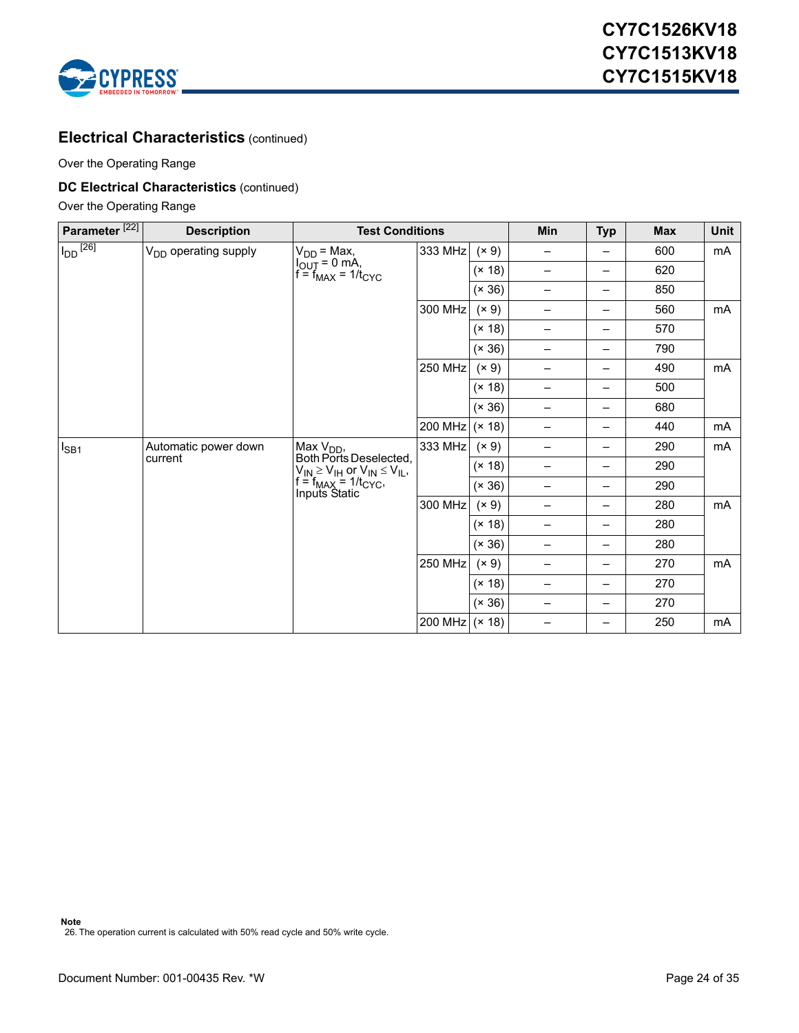

### **Electrical Characteristics** (continued)

Over the Operating Range

#### **DC Electrical Characteristics** (continued)

Over the Operating Range

<span id="page-23-0"></span>

| Parameter <sup>[22]</sup> | <b>Description</b>               | <b>Test Conditions</b>                                                                                                                                          |                |        | Min                      | <b>Typ</b> | <b>Max</b> | Unit |
|---------------------------|----------------------------------|-----------------------------------------------------------------------------------------------------------------------------------------------------------------|----------------|--------|--------------------------|------------|------------|------|
| $I_{DD}$ <sup>[26]</sup>  | V <sub>DD</sub> operating supply |                                                                                                                                                                 | 333 MHz        | (x 9)  | -                        | -          | 600        | mA   |
|                           |                                  | $V_{DD}$ = Max,<br>$I_{OUT}$ = 0 mA,<br>$f = f_{MAX}$ = 1/t <sub>CYC</sub>                                                                                      |                | (x 18) | $\qquad \qquad -$        | —          | 620        |      |
|                           |                                  |                                                                                                                                                                 |                | (x 36) | $\overline{\phantom{0}}$ | —          | 850        |      |
|                           |                                  |                                                                                                                                                                 | 300 MHz        | (x 9)  | -                        | -          | 560        | mA   |
|                           |                                  |                                                                                                                                                                 |                | (x 18) | $\overline{\phantom{0}}$ | —          | 570        |      |
|                           |                                  |                                                                                                                                                                 |                | (x 36) | -                        | —          | 790        |      |
|                           |                                  |                                                                                                                                                                 | 250 MHz        | (x 9)  | —                        | —          | 490        | mA   |
|                           |                                  |                                                                                                                                                                 |                | (x 18) | $\qquad \qquad -$        | -          | 500        |      |
|                           |                                  | (x 36)                                                                                                                                                          | -              | -      | 680                      |            |            |      |
|                           |                                  |                                                                                                                                                                 | 200 MHz        | (x 18) | -                        | —          | 440        | mA   |
| $I_{SB1}$                 | Automatic power down<br>current  | Max V <sub>DD</sub> ,<br>Both Ports Deselected,<br>$V_{IN} \ge V_{IH}$ or $V_{IN} \le V_{IL}$ ,<br>f = f <sub>MAX</sub> = 1/t <sub>CYC</sub> ,<br>Inputs Static | 333 MHz        | (x 9)  | -                        | -          | 290        | mA   |
|                           |                                  |                                                                                                                                                                 |                | (x 18) | $\overline{\phantom{0}}$ | —          | 290        |      |
|                           |                                  |                                                                                                                                                                 |                | (x 36) | $\overline{\phantom{0}}$ | —          | 290        |      |
|                           |                                  |                                                                                                                                                                 | 300 MHz        | (x 9)  | -                        | —          | 280        | mA   |
|                           |                                  |                                                                                                                                                                 |                | (x 18) | $\qquad \qquad -$        | -          | 280        |      |
|                           |                                  |                                                                                                                                                                 |                | (x 36) | -                        | —          | 280        |      |
|                           |                                  |                                                                                                                                                                 | <b>250 MHz</b> | (x 9)  | —                        | -          | 270        | mA   |
|                           |                                  |                                                                                                                                                                 |                | (x 18) | $\qquad \qquad$          | —          | 270        |      |
|                           |                                  |                                                                                                                                                                 |                | (x 36) | $\overline{\phantom{0}}$ | —          | 270        |      |
|                           |                                  |                                                                                                                                                                 | 200 MHz (× 18) |        | -                        |            | 250        | mA   |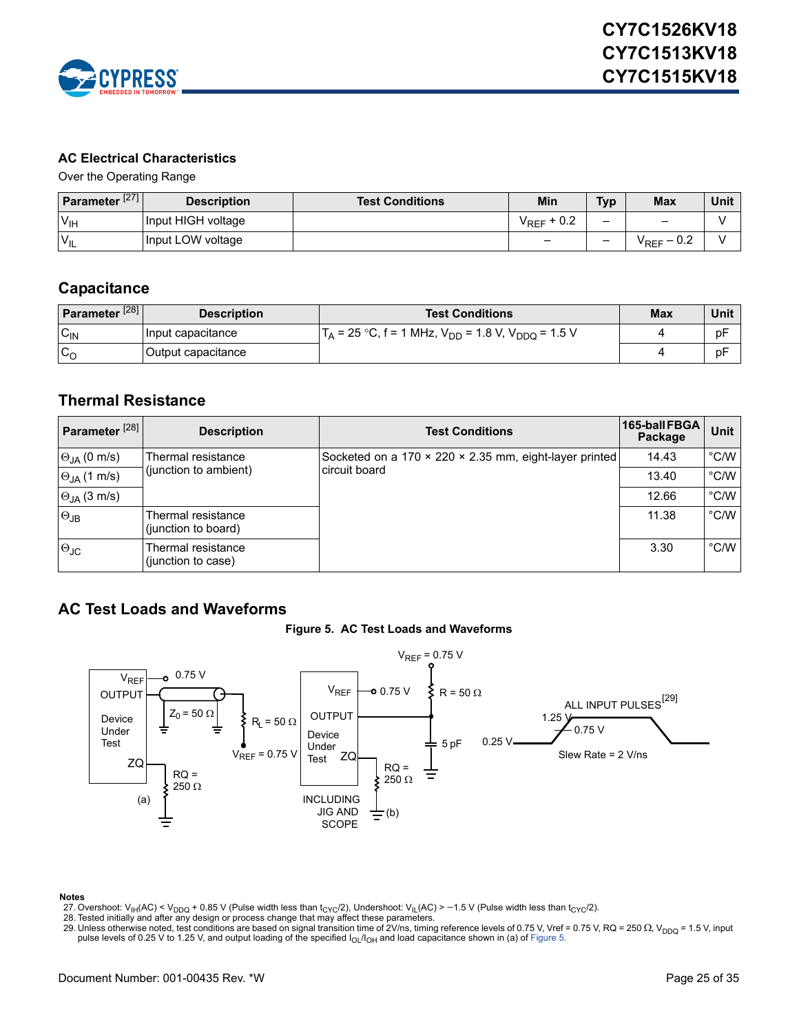

#### <span id="page-24-0"></span>**AC Electrical Characteristics**

Over the Operating Range

| Parameter $\sqrt{271}$ | <b>Description</b> | <b>Test Conditions</b> | Min                        | <b>Typ</b> | <b>Max</b>            | Unit |
|------------------------|--------------------|------------------------|----------------------------|------------|-----------------------|------|
| $V_{\text{IH}}$        | Input HIGH voltage |                        | $+0.2$<br><sup>V</sup> REF |            | $\qquad \qquad$       |      |
| $V_{IL}$               | Input LOW voltage  |                        | $\overline{\phantom{0}}$   | -          | $\rm V_{REF}$ $-$ 0.2 |      |

### <span id="page-24-1"></span>**Capacitance**

| Parameter <sup>[28]</sup> | <b>Description</b> | <b>Test Conditions</b>                                        | <b>Max</b> | Unit |
|---------------------------|--------------------|---------------------------------------------------------------|------------|------|
| $C_{\text{IN}}$           | Input capacitance  | $T_A$ = 25 °C, f = 1 MHz, $V_{DD}$ = 1.8 V, $V_{DDQ}$ = 1.5 V |            | рF   |
| $c_{\rm o}$               | Output capacitance |                                                               |            | рF   |

### <span id="page-24-2"></span>**Thermal Resistance**

| Parameter <sup>[28]</sup> | <b>Description</b>                        | <b>Test Conditions</b>                                 | 165-ball FBGA<br>Package | Unit          |
|---------------------------|-------------------------------------------|--------------------------------------------------------|--------------------------|---------------|
| $\Theta_{JA}$ (0 m/s)     | Thermal resistance                        | Socketed on a 170 × 220 × 2.35 mm, eight-layer printed | 14.43                    | $\degree$ C/W |
| $\Theta_{JA}$ (1 m/s)     | (junction to ambient)                     | circuit board                                          | 13.40                    | $\degree$ C/W |
| $\Theta_{JA}$ (3 m/s)     |                                           |                                                        | 12.66                    | $\degree$ C/W |
| $\Theta$ JB               | Thermal resistance<br>(junction to board) |                                                        | 11.38                    | $\degree$ C/W |
| $\Theta$ JC               | Thermal resistance<br>(junction to case)  |                                                        | 3.30                     | $\degree$ C/W |

# <span id="page-24-5"></span><span id="page-24-3"></span>**AC Test Loads and Waveforms**





#### **Notes**

- <span id="page-24-4"></span>27. Overshoot: V<sub>IH</sub>(AC) < V<sub>DDQ</sub> + 0.85 V (Pulse width less than t<sub>CYC</sub>/2), Undershoot: V<sub>IL</sub>(AC) > -1.5 V (Pulse width less than t<sub>CYC</sub>/2).
- <span id="page-24-7"></span>
- <span id="page-24-6"></span>28. Tested initially and after any design or process change that may affect these parameters.<br>29. Unless otherwise noted, test conditions are based on signal transition time of 2V/ns, timing reference levels of 0.75 V, Vr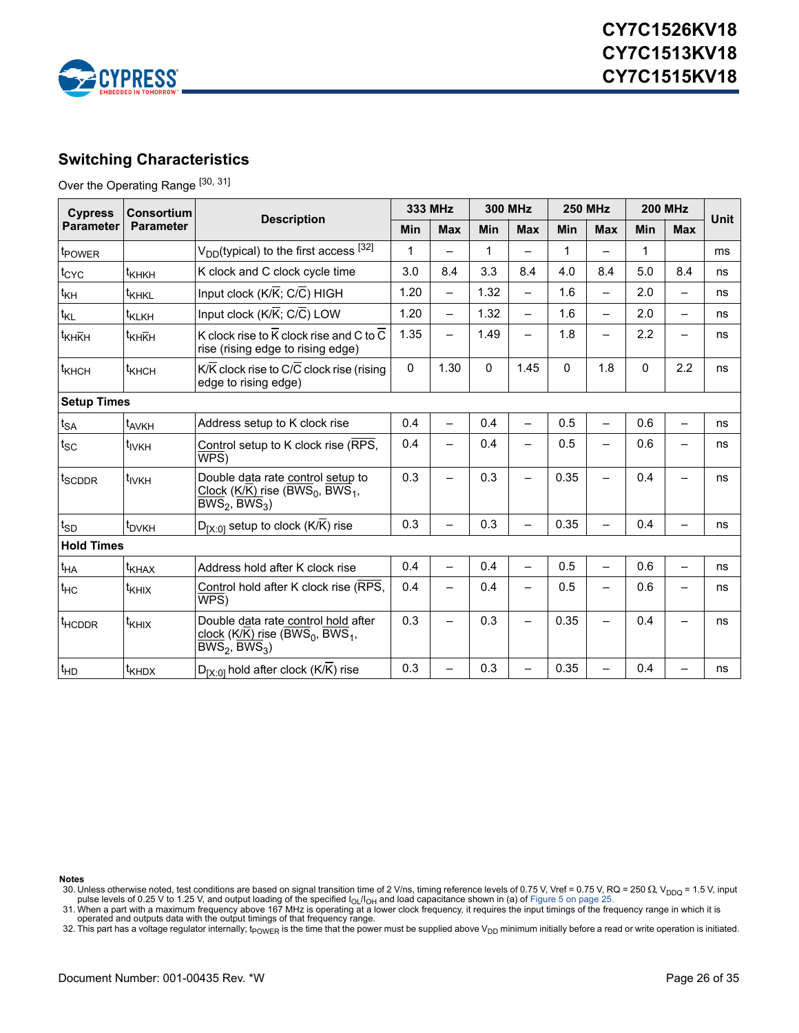

# <span id="page-25-0"></span>**Switching Characteristics**

Over the Operating Range [[30,](#page-25-1) [31\]](#page-25-2)

| <b>Cypress</b>     | <b>Consortium</b>   |                                                                                                                                                  | 333 MHz     |                          | <b>300 MHz</b> |                          | <b>250 MHz</b> |                          | <b>200 MHz</b> |                          |             |
|--------------------|---------------------|--------------------------------------------------------------------------------------------------------------------------------------------------|-------------|--------------------------|----------------|--------------------------|----------------|--------------------------|----------------|--------------------------|-------------|
| <b>Parameter</b>   | <b>Parameter</b>    | <b>Description</b><br>Min                                                                                                                        |             | <b>Max</b>               | Min            | <b>Max</b>               | Min            | <b>Max</b>               | Min            | <b>Max</b>               | <b>Unit</b> |
| t <sub>POWER</sub> |                     | $V_{DD}$ (typical) to the first access $^{[32]}$                                                                                                 | $\mathbf 1$ |                          | 1              |                          | $\mathbf{1}$   |                          | 1              |                          | ms          |
| $t_{CYC}$          | t <sub>KHKH</sub>   | K clock and C clock cycle time                                                                                                                   | 3.0         | 8.4                      | 3.3            | 8.4                      | 4.0            | 8.4                      | 5.0            | 8.4                      | ns          |
| $t_{\mathsf{KH}}$  | t <sub>KHKL</sub>   | Input clock $(K/K; C/C)$ HIGH                                                                                                                    | 1.20        | $\overline{\phantom{0}}$ | 1.32           | $\rightarrow$            | 1.6            | $\overline{\phantom{0}}$ | 2.0            | $\equiv$                 | ns          |
| $t_{KL}$           | t <sub>KLKH</sub>   | Input clock (K/K; C/C) LOW                                                                                                                       | 1.20        | $\overline{\phantom{0}}$ | 1.32           | $\overline{\phantom{0}}$ | 1.6            | $\overline{\phantom{0}}$ | 2.0            | $\overline{a}$           | ns          |
| t <sub>KHKH</sub>  | t <sub>KHKH</sub>   | K clock rise to $\overline{K}$ clock rise and C to $\overline{C}$<br>rise (rising edge to rising edge)                                           |             |                          | 1.49           | —                        | 1.8            | $\overline{\phantom{0}}$ | 2.2            |                          | ns          |
| t <sub>KHCH</sub>  | t <sub>KHCH</sub>   | K/K clock rise to C/C clock rise (rising<br>edge to rising edge)                                                                                 | 0           | 1.30                     | 0              | 1.45                     | $\Omega$       | 1.8                      | $\mathbf 0$    | 2.2                      | ns          |
| <b>Setup Times</b> |                     |                                                                                                                                                  |             |                          |                |                          |                |                          |                |                          |             |
| $t_{SA}$           | t <sub>AVKH</sub>   | Address setup to K clock rise                                                                                                                    | 0.4         |                          | 0.4            | $\overline{\phantom{0}}$ | 0.5            | $\equiv$                 | 0.6            | $\overline{\phantom{0}}$ | ns          |
| $t_{SC}$           | t <sub>ivkH</sub>   | Control setup to K clock rise (RPS,<br>WPS)                                                                                                      | 0.4         |                          | 0.4            |                          | 0.5            |                          | 0.6            |                          | ns          |
| t <sub>SCDDR</sub> | t <sub>IVKH</sub>   | Double data rate control setup to<br>Clock (K/K) rise (BWS <sub>0</sub> , BWS <sub>1</sub> ,<br>$\overline{\mathsf{BWS}}_2$ , BWS <sub>3</sub> ) | 0.3         |                          | 0.3            |                          | 0.35           | $\overline{\phantom{0}}$ | 0.4            |                          | ns          |
| $t_{SD}$           | t <sub>DVKH</sub>   | $D_{[X\cdot 0]}$ setup to clock (K/K) rise                                                                                                       | 0.3         |                          | 0.3            |                          | 0.35           | $\rightarrow$            | 0.4            |                          | ns          |
| <b>Hold Times</b>  |                     |                                                                                                                                                  |             |                          |                |                          |                |                          |                |                          |             |
| $t_{HA}$           | $t_{\text{KHAX}}$   | Address hold after K clock rise                                                                                                                  | 0.4         |                          | 0.4            |                          | 0.5            | $\overline{\phantom{0}}$ | 0.6            |                          | ns          |
| $t_{HC}$           | $t_{\text{KHIX}}$   | Control hold after K clock rise (RPS,<br>WPS)                                                                                                    | 0.4         |                          | 0.4            | —                        | 0.5            | —                        | 0.6            | $\overline{\phantom{0}}$ | ns          |
| t <sub>HCDDR</sub> | $t_{\mathsf{KHIX}}$ | Double data rate control hold after<br>clock (K/K) rise (BWS <sub>0</sub> , BWS <sub>1</sub> ,<br>$BWS_2$ , $BWS_3$ )                            | 0.3         |                          | 0.3            |                          | 0.35           |                          | 0.4            |                          | ns          |
| $t_{HD}$           | $t_{\text{KHDX}}$   | $D_{[X:0]}$ hold after clock (K/K) rise                                                                                                          | 0.3         |                          | 0.3            |                          | 0.35           | -                        | 0.4            |                          | ns          |

**Notes**

<span id="page-25-2"></span>

<span id="page-25-3"></span>32. This part has a voltage regulator internally;  $t_{\mathsf{POWER}}$  is the time that the power must be supplied above  $\mathsf{V}_{\mathsf{DD}}$  minimum initially before a read or write operation is initiated.

<span id="page-25-1"></span><sup>30.</sup> Unless otherwise noted, test conditions are based on signal transition time of 2 V/ns, timing reference levels of 0.75 V, Vref = 0.75 V, RQ = 250  $\Omega$ , V<sub>DDQ</sub> = 1.5 V, input<br>pulse levels of 0.25 V to 1.25 V, and outpu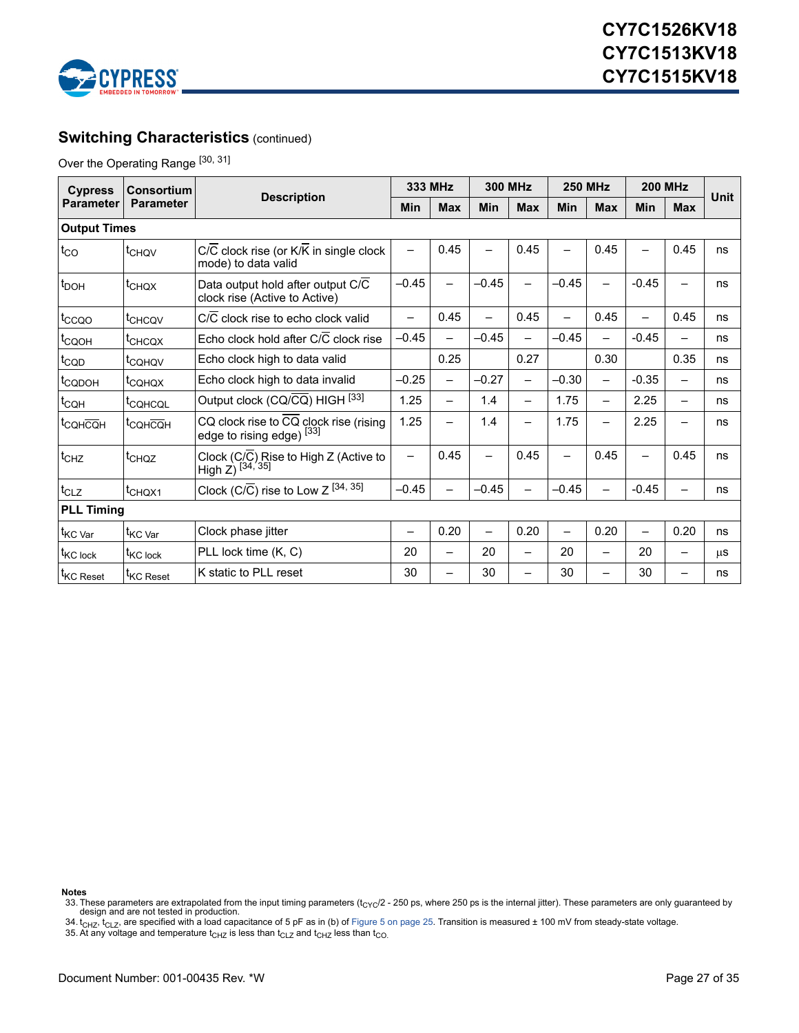

# **Switching Characteristics (continued)**

Over the Operating Range [30, 31]

| <b>Cypress</b>        | Consortium                             |                                                                     | 333 MHz                  |                          | <b>300 MHz</b>           |                          | <b>250 MHz</b>           |                          | <b>200 MHz</b>           |                          | Unit |
|-----------------------|----------------------------------------|---------------------------------------------------------------------|--------------------------|--------------------------|--------------------------|--------------------------|--------------------------|--------------------------|--------------------------|--------------------------|------|
| <b>Parameter</b>      | <b>Description</b><br><b>Parameter</b> |                                                                     | Min                      | <b>Max</b>               | Min                      | <b>Max</b>               | Min                      | <b>Max</b>               | <b>Min</b>               | <b>Max</b>               |      |
| <b>Output Times</b>   |                                        |                                                                     |                          |                          |                          |                          |                          |                          |                          |                          |      |
| $t_{\rm CO}$          | t <sub>CHQV</sub>                      | C/C clock rise (or K/K in single clock<br>mode) to data valid       | $\overline{\phantom{0}}$ | 0.45                     | —                        | 0.45                     | —                        | 0.45                     | $\overline{\phantom{0}}$ | 0.45                     | ns   |
| $t_{\text{DOH}}$      | t <sub>CHQX</sub>                      | Data output hold after output C/C<br>clock rise (Active to Active)  | $-0.45$                  |                          | $-0.45$                  |                          | $-0.45$                  | $\overline{\phantom{0}}$ | $-0.45$                  |                          | ns   |
| $t_{CCQO}$            | t <sub>CHCQV</sub>                     | C/C clock rise to echo clock valid                                  | $\overline{\phantom{0}}$ | 0.45                     | $\qquad \qquad$          | 0.45                     | —                        | 0.45                     | $\equiv$                 | 0.45                     | ns   |
| t <sub>CQOH</sub>     | t <sub>CHCQX</sub>                     | Echo clock hold after C/C clock rise                                | $-0.45$                  |                          | $-0.45$                  |                          | $-0.45$                  | —                        | $-0.45$                  |                          | ns   |
| $t_{\text{CQD}}$      | t <sub>CQHQV</sub>                     | Echo clock high to data valid                                       |                          | 0.25                     |                          | 0.27                     |                          | 0.30                     |                          | 0.35                     | ns   |
| t <sub>CQDOH</sub>    | <sup>t</sup> CQHQX                     | Echo clock high to data invalid                                     | $-0.25$                  | $\qquad \qquad$          | $-0.27$                  | —                        | $-0.30$                  | -                        | $-0.35$                  | $\overline{\phantom{0}}$ | ns   |
| $t_{\text{CQH}}$      | t <sub>COHCOL</sub>                    | Output clock (CQ/CQ) HIGH [33]                                      | 1.25                     |                          | 1.4                      | $\overline{\phantom{0}}$ | 1.75                     | $\overline{\phantom{0}}$ | 2.25                     | $\overline{\phantom{0}}$ | ns   |
| t <sub>CQH</sub> CQH  | t <sub>CQHCQH</sub>                    | CQ clock rise to CQ clock rise (rising<br>edge to rising edge) [33] | 1.25                     |                          | 1.4                      | —                        | 1.75                     | -                        | 2.25                     | -                        | ns   |
| $t_{CHZ}$             | t <sub>CHQZ</sub>                      | Clock (C/C) Rise to High Z (Active to<br>High Z) $^{[34, 35]}$      | $\qquad \qquad -$        | 0.45                     | —                        | 0.45                     | —                        | 0.45                     | —                        | 0.45                     | ns   |
| $t_{CLZ}$             | t <sub>CHQX1</sub>                     | Clock (C/ $\overline{C}$ ) rise to Low Z [34, 35]                   | $-0.45$                  |                          | $-0.45$                  |                          | $-0.45$                  | $\overline{\phantom{0}}$ | $-0.45$                  |                          | ns   |
| <b>PLL Timing</b>     |                                        |                                                                     |                          |                          |                          |                          |                          |                          |                          |                          |      |
| t <sub>KC</sub> var   | t <sub>KC Var</sub>                    | Clock phase jitter                                                  | $\overline{\phantom{0}}$ | 0.20                     | $\overline{\phantom{0}}$ | 0.20                     | $\overline{\phantom{0}}$ | 0.20                     |                          | 0.20                     | ns   |
| t <sub>KC</sub> lock  | t <sub>KC lock</sub>                   | PLL lock time (K, C)                                                | 20                       | $\overline{\phantom{0}}$ | 20                       | —                        | 20                       | —                        | 20                       | $\overline{\phantom{0}}$ | μS   |
| t <sub>KC</sub> Reset | <sup>I</sup> KC Reset                  | K static to PLL reset                                               | 30                       |                          | 30                       |                          | 30                       | -                        | 30                       |                          | ns   |

**Notes**

<span id="page-26-0"></span><sup>33.</sup> These parameters are extrapolated from the input timing parameters ( $t_{\rm CYC}/2$  - 250 ps, where 250 ps is the internal jitter). These parameters are only guaranteed by design and are not tested in production.

<span id="page-26-1"></span><sup>34.</sup> t<sub>CHZ</sub>, t<sub>CLZ</sub>, are specified with a load capacitance of 5 pF as in (b) of [Figure 5 on page 25.](#page-24-5) Transition is measured ± 100 mV from steady-state voltage.<br>35. At any voltage and temperature t<sub>CHZ</sub> is less than t<sub>CLZ</sub> a

<span id="page-26-2"></span>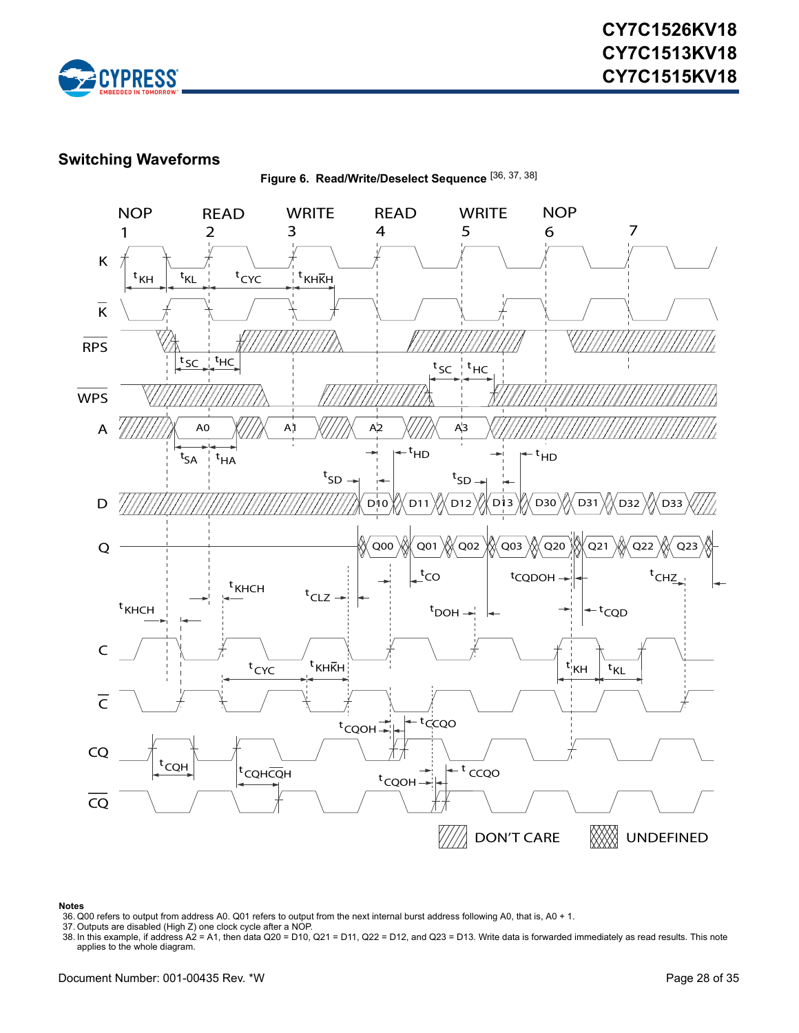

### <span id="page-27-0"></span>**Switching Waveforms**

**Figure 6. Read/Write/Deselect Sequence** [[36,](#page-27-1) [37,](#page-27-2) [38\]](#page-27-3)



#### **Notes**

<span id="page-27-2"></span>37. Outputs are disabled (High Z) one clock cycle after a NOP.

<span id="page-27-1"></span><sup>36.</sup> Q00 refers to output from address A0. Q01 refers to output from the next internal burst address following A0, that is, A0 + 1.

<span id="page-27-3"></span><sup>38.</sup> In this example, if address A2 = A1, then data Q20 = D10, Q21 = D11, Q22 = D12, and Q23 = D13. Write data is forwarded immediately as read results. This note applies to the whole diagram.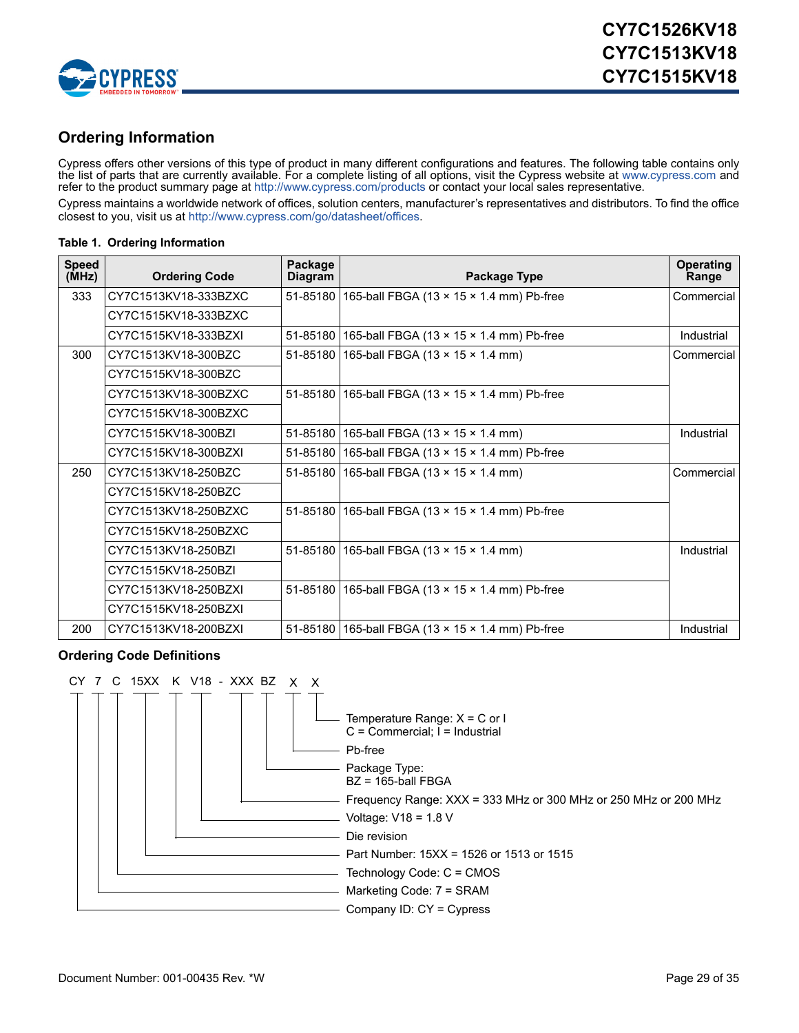

# <span id="page-28-0"></span>**Ordering Information**

Cypress offers other versions of this type of product in many different configurations and features. The following table contains only the list of parts that are currently available. For a complete listing of all options, visit the Cypress website at <www.cypress.com>and refer to the product summary page at <http://www.cypress.com/products> or contact your local sales representative.

Cypress maintains a worldwide network of offices, solution centers, manufacturer's representatives and distributors. To find the office closest to you, visit us a[t http://www.cypress.com/go/datasheet/offices.](http://www.cypress.com/go/datasheet/offices)

#### **Table 1. Ordering Information**

| <b>Speed</b><br>(MHz) | <b>Ordering Code</b> | Package<br><b>Diagram</b> | Package Type                                              | <b>Operating</b><br>Range |
|-----------------------|----------------------|---------------------------|-----------------------------------------------------------|---------------------------|
| 333                   | CY7C1513KV18-333BZXC |                           | 51-85180 165-ball FBGA (13 x 15 x 1.4 mm) Pb-free         | Commercial                |
|                       | CY7C1515KV18-333BZXC |                           |                                                           |                           |
|                       | CY7C1515KV18-333BZXI |                           | 51-85180   165-ball FBGA (13 x 15 x 1.4 mm) Pb-free       | Industrial                |
| 300                   | CY7C1513KV18-300BZC  |                           | 51-85180   165-ball FBGA (13 x 15 x 1.4 mm)               | Commercial                |
|                       | CY7C1515KV18-300BZC  |                           |                                                           |                           |
|                       | CY7C1513KV18-300BZXC |                           | 51-85180 165-ball FBGA (13 x 15 x 1.4 mm) Pb-free         |                           |
|                       | CY7C1515KV18-300BZXC |                           |                                                           |                           |
|                       | CY7C1515KV18-300BZI  |                           | 51-85180   165-ball FBGA (13 $\times$ 15 $\times$ 1.4 mm) | Industrial                |
|                       | CY7C1515KV18-300BZXI |                           | 51-85180 165-ball FBGA (13 x 15 x 1.4 mm) Pb-free         |                           |
| 250                   | CY7C1513KV18-250BZC  |                           | 51-85180   165-ball FBGA (13 $\times$ 15 $\times$ 1.4 mm) | Commercial                |
|                       | CY7C1515KV18-250BZC  |                           |                                                           |                           |
|                       | CY7C1513KV18-250BZXC |                           | 51-85180 165-ball FBGA (13 x 15 x 1.4 mm) Pb-free         |                           |
|                       | CY7C1515KV18-250BZXC |                           |                                                           |                           |
|                       | CY7C1513KV18-250BZI  |                           | 51-85180 165-ball FBGA (13 x 15 x 1.4 mm)                 | Industrial                |
|                       | CY7C1515KV18-250BZI  |                           |                                                           |                           |
|                       | CY7C1513KV18-250BZXI |                           | 51-85180 165-ball FBGA (13 x 15 x 1.4 mm) Pb-free         |                           |
|                       | CY7C1515KV18-250BZXI |                           |                                                           |                           |
| 200                   | CY7C1513KV18-200BZXI |                           | 51-85180   165-ball FBGA (13 x 15 x 1.4 mm) Pb-free       | Industrial                |

#### <span id="page-28-1"></span>**Ordering Code Definitions**

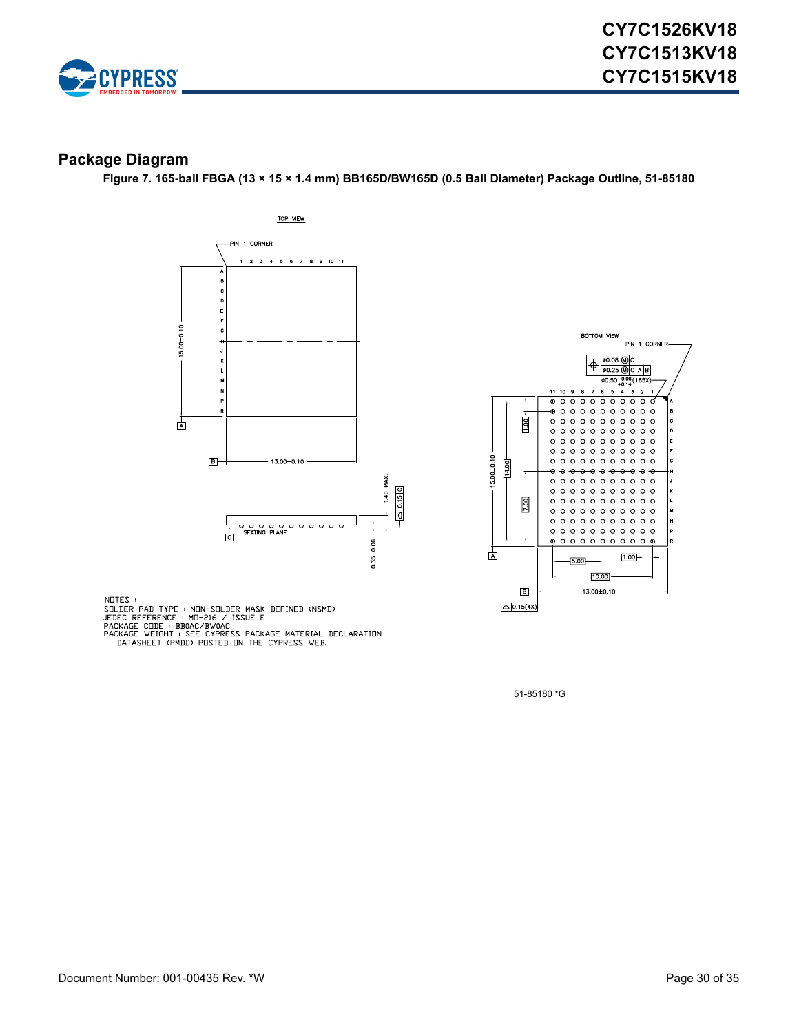

#### <span id="page-29-0"></span>**Package Diagram**

**Figure 7. 165-ball FBGA (13 × 15 × 1.4 mm) BB165D/BW165D (0.5 Ball Diameter) Package Outline, 51-85180**





NOTES :

NUTES<br>
SOLDER PAD TYPE : MON-SOLDER MASK DEFINED (NSMD)<br>
JEDEC REFERENCE : MO-216 / ISSUE E<br>
PACKAGE CODE : BBOAC/BWOAC<br>
PACKAGE WEIGHT : SEE CYPRESS PACKAGE MATERIAL DECLARATION<br>
DATASHEET (PMDD) POSTED ON THE CYPRESS WEB

51-85180 \*G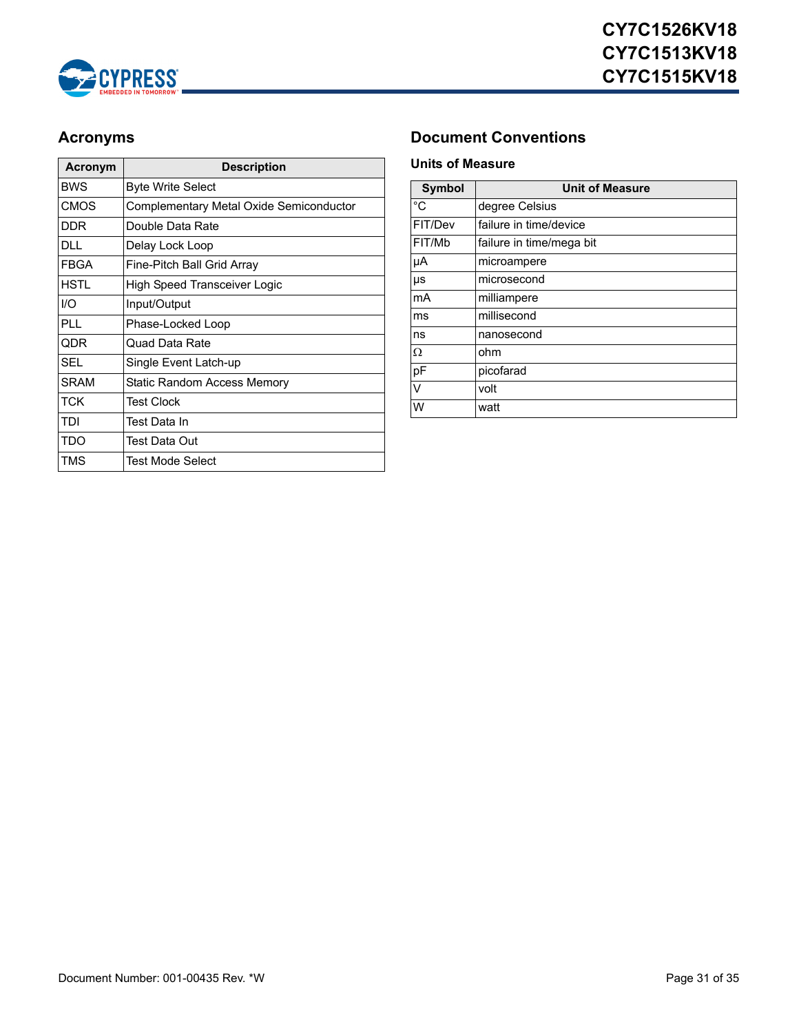

| Acronym     | <b>Description</b>                      |
|-------------|-----------------------------------------|
| <b>BWS</b>  | <b>Byte Write Select</b>                |
| <b>CMOS</b> | Complementary Metal Oxide Semiconductor |
| <b>DDR</b>  | Double Data Rate                        |
| DLL.        | Delay Lock Loop                         |
| <b>FBGA</b> | Fine-Pitch Ball Grid Array              |
| HSTI        | High Speed Transceiver Logic            |
| 1/O         | Input/Output                            |
| PLL         | Phase-Locked Loop                       |
| QDR         | Quad Data Rate                          |
| <b>SEL</b>  | Single Event Latch-up                   |
| <b>SRAM</b> | Static Random Access Memory             |
| <b>TCK</b>  | <b>Test Clock</b>                       |
| TDI         | Test Data In                            |
| TDO         | Test Data Out                           |
| TMS         | Test Mode Select                        |

# <span id="page-30-0"></span>Acronyms **Document Conventions**

#### <span id="page-30-2"></span><span id="page-30-1"></span>**Units of Measure**

| <b>Symbol</b> | <b>Unit of Measure</b>   |  |  |  |  |  |
|---------------|--------------------------|--|--|--|--|--|
| °C            | degree Celsius           |  |  |  |  |  |
| FIT/Dev       | failure in time/device   |  |  |  |  |  |
| FIT/Mb        | failure in time/mega bit |  |  |  |  |  |
| μA            | microampere              |  |  |  |  |  |
| μs            | microsecond              |  |  |  |  |  |
| mA            | milliampere              |  |  |  |  |  |
| ms            | millisecond              |  |  |  |  |  |
| ns            | nanosecond               |  |  |  |  |  |
| Ω             | ohm                      |  |  |  |  |  |
| pF            | picofarad                |  |  |  |  |  |
| $\vee$        | volt                     |  |  |  |  |  |
| W             | watt                     |  |  |  |  |  |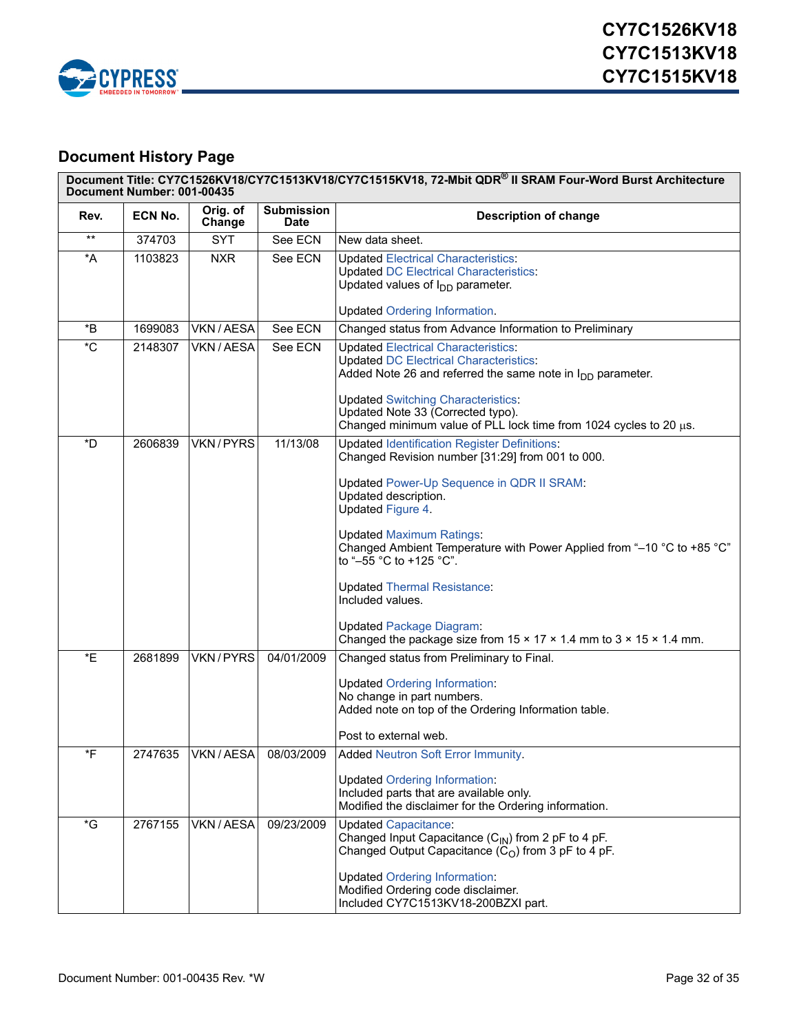

# <span id="page-31-0"></span>**Document History Page**

|               | Document Title: CY7C1526KV18/CY7C1513KV18/CY7C1515KV18, 72-Mbit QDR® II SRAM Four-Word Burst Architecture<br>Document Number: 001-00435 |                       |                                  |                                                                                                                                                                                                                                                                                                                                                                                                                                                                                                                                      |  |  |  |
|---------------|-----------------------------------------------------------------------------------------------------------------------------------------|-----------------------|----------------------------------|--------------------------------------------------------------------------------------------------------------------------------------------------------------------------------------------------------------------------------------------------------------------------------------------------------------------------------------------------------------------------------------------------------------------------------------------------------------------------------------------------------------------------------------|--|--|--|
| Rev.          | ECN No.                                                                                                                                 | Orig. of<br>Change    | <b>Submission</b><br><b>Date</b> | <b>Description of change</b>                                                                                                                                                                                                                                                                                                                                                                                                                                                                                                         |  |  |  |
| $***$         | 374703                                                                                                                                  | <b>SYT</b>            | See ECN                          | New data sheet.                                                                                                                                                                                                                                                                                                                                                                                                                                                                                                                      |  |  |  |
| *A            | 1103823                                                                                                                                 | <b>NXR</b>            | See ECN                          | <b>Updated Electrical Characteristics:</b><br><b>Updated DC Electrical Characteristics:</b><br>Updated values of $I_{DD}$ parameter.<br><b>Updated Ordering Information.</b>                                                                                                                                                                                                                                                                                                                                                         |  |  |  |
| $^\ast\!B$    | 1699083                                                                                                                                 | VKN / AESA            | See ECN                          | Changed status from Advance Information to Preliminary                                                                                                                                                                                                                                                                                                                                                                                                                                                                               |  |  |  |
| ${}^{\star}C$ | 2148307                                                                                                                                 | VKN/AESA              | See ECN                          | <b>Updated Electrical Characteristics:</b><br><b>Updated DC Electrical Characteristics:</b><br>Added Note 26 and referred the same note in $I_{DD}$ parameter.<br><b>Updated Switching Characteristics:</b><br>Updated Note 33 (Corrected typo).<br>Changed minimum value of PLL lock time from 1024 cycles to 20 µs.                                                                                                                                                                                                                |  |  |  |
| *D            | 2606839                                                                                                                                 | VKN/PYRS              | 11/13/08                         | <b>Updated Identification Register Definitions:</b><br>Changed Revision number [31:29] from 001 to 000.<br>Updated Power-Up Sequence in QDR II SRAM:<br>Updated description.<br>Updated Figure 4.<br><b>Updated Maximum Ratings:</b><br>Changed Ambient Temperature with Power Applied from "-10 °C to +85 °C"<br>to "-55 °C to +125 °C".<br><b>Updated Thermal Resistance:</b><br>Included values.<br><b>Updated Package Diagram:</b><br>Changed the package size from $15 \times 17 \times 1.4$ mm to $3 \times 15 \times 1.4$ mm. |  |  |  |
| *E            | 2681899                                                                                                                                 | VKN/PYRS              | 04/01/2009                       | Changed status from Preliminary to Final.<br><b>Updated Ordering Information:</b><br>No change in part numbers.<br>Added note on top of the Ordering Information table.<br>Post to external web.                                                                                                                                                                                                                                                                                                                                     |  |  |  |
| *F            | 2747635                                                                                                                                 | VKN / AESA 08/03/2009 |                                  | Added Neutron Soft Error Immunity.<br><b>Updated Ordering Information:</b><br>Included parts that are available only.<br>Modified the disclaimer for the Ordering information.                                                                                                                                                                                                                                                                                                                                                       |  |  |  |
| *G            | 2767155                                                                                                                                 | VKN / AESA            | 09/23/2009                       | <b>Updated Capacitance:</b><br>Changed Input Capacitance $(C_{\text{IN}})$ from 2 pF to 4 pF.<br>Changed Output Capacitance $(CO)$ from 3 pF to 4 pF.<br><b>Updated Ordering Information:</b><br>Modified Ordering code disclaimer.<br>Included CY7C1513KV18-200BZXI part.                                                                                                                                                                                                                                                           |  |  |  |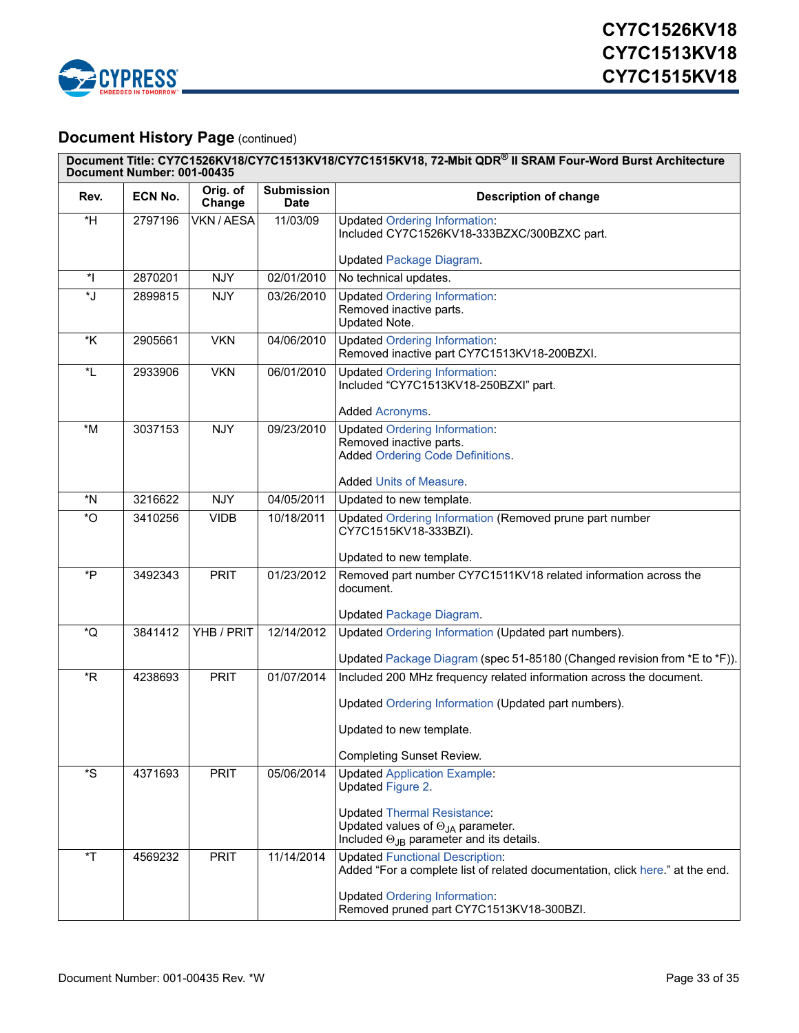

# **Document History Page (continued)**

| Document Title: CY7C1526KV18/CY7C1513KV18/CY7C1515KV18, 72-Mbit QDR® II SRAM Four-Word Burst Architecture<br>Document Number: 001-00435 |                |                    |                                  |                                                                                                                                       |  |  |
|-----------------------------------------------------------------------------------------------------------------------------------------|----------------|--------------------|----------------------------------|---------------------------------------------------------------------------------------------------------------------------------------|--|--|
| Rev.                                                                                                                                    | <b>ECN No.</b> | Orig. of<br>Change | <b>Submission</b><br><b>Date</b> | <b>Description of change</b>                                                                                                          |  |  |
| $*H$                                                                                                                                    | 2797196        | VKN / AESA         | 11/03/09                         | <b>Updated Ordering Information:</b><br>Included CY7C1526KV18-333BZXC/300BZXC part.                                                   |  |  |
|                                                                                                                                         |                |                    |                                  | <b>Updated Package Diagram.</b>                                                                                                       |  |  |
| $^\star\vert$                                                                                                                           | 2870201        | <b>NJY</b>         | 02/01/2010                       | No technical updates.                                                                                                                 |  |  |
| ٌٌل*                                                                                                                                    | 2899815        | <b>NJY</b>         | 03/26/2010                       | <b>Updated Ordering Information:</b><br>Removed inactive parts.<br>Updated Note.                                                      |  |  |
| *K                                                                                                                                      | 2905661        | <b>VKN</b>         | 04/06/2010                       | <b>Updated Ordering Information:</b><br>Removed inactive part CY7C1513KV18-200BZXI.                                                   |  |  |
| *L                                                                                                                                      | 2933906        | <b>VKN</b>         | 06/01/2010                       | <b>Updated Ordering Information:</b><br>Included "CY7C1513KV18-250BZXI" part.                                                         |  |  |
|                                                                                                                                         |                |                    |                                  | Added Acronyms.                                                                                                                       |  |  |
| $*M$                                                                                                                                    | 3037153        | <b>NJY</b>         | 09/23/2010                       | <b>Updated Ordering Information:</b><br>Removed inactive parts.<br><b>Added Ordering Code Definitions.</b>                            |  |  |
|                                                                                                                                         |                |                    |                                  | Added Units of Measure.                                                                                                               |  |  |
| $^{\star}$ N                                                                                                                            | 3216622        | <b>NJY</b>         | 04/05/2011                       | Updated to new template.                                                                                                              |  |  |
| $\mathbf{O}^*$                                                                                                                          | 3410256        | <b>VIDB</b>        | 10/18/2011                       | Updated Ordering Information (Removed prune part number<br>CY7C1515KV18-333BZI).                                                      |  |  |
|                                                                                                                                         |                |                    |                                  | Updated to new template.                                                                                                              |  |  |
| *P                                                                                                                                      | 3492343        | <b>PRIT</b>        | 01/23/2012                       | Removed part number CY7C1511KV18 related information across the<br>document.                                                          |  |  |
|                                                                                                                                         |                |                    |                                  | <b>Updated Package Diagram.</b>                                                                                                       |  |  |
| *Q                                                                                                                                      | 3841412        | YHB / PRIT         | 12/14/2012                       | Updated Ordering Information (Updated part numbers).                                                                                  |  |  |
|                                                                                                                                         |                |                    |                                  | Updated Package Diagram (spec 51-85180 (Changed revision from *E to *F)).                                                             |  |  |
| *R                                                                                                                                      | 4238693        | <b>PRIT</b>        | 01/07/2014                       | Included 200 MHz frequency related information across the document.                                                                   |  |  |
|                                                                                                                                         |                |                    |                                  | Updated Ordering Information (Updated part numbers).                                                                                  |  |  |
|                                                                                                                                         |                |                    |                                  | Updated to new template.                                                                                                              |  |  |
|                                                                                                                                         |                |                    |                                  | Completing Sunset Review.                                                                                                             |  |  |
| $^{\star}\text{S}$                                                                                                                      | 4371693        | <b>PRIT</b>        | 05/06/2014                       | <b>Updated Application Example:</b><br>Updated Figure 2.                                                                              |  |  |
|                                                                                                                                         |                |                    |                                  | <b>Updated Thermal Resistance:</b><br>Updated values of $\Theta_{JA}$ parameter.<br>Included $\Theta_{JB}$ parameter and its details. |  |  |
| $\mathsf{r}$                                                                                                                            | 4569232        | <b>PRIT</b>        | 11/14/2014                       | <b>Updated Functional Description:</b><br>Added "For a complete list of related documentation, click here." at the end.               |  |  |
|                                                                                                                                         |                |                    |                                  | <b>Updated Ordering Information:</b><br>Removed pruned part CY7C1513KV18-300BZI.                                                      |  |  |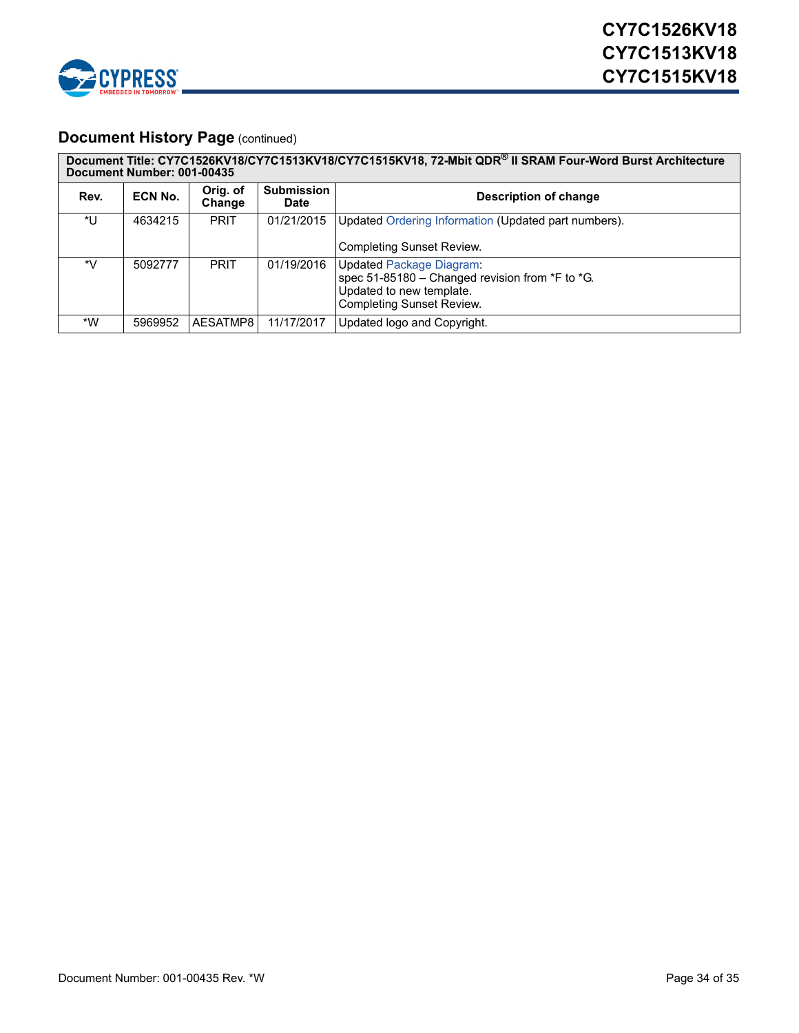

# **Document History Page (continued)**

| Document Title: CY7C1526KV18/CY7C1513KV18/CY7C1515KV18, 72-Mbit QDR® II SRAM Four-Word Burst Architecture<br>Document Number: 001-00435 |         |                    |                           |                                                                                                                                             |  |  |
|-----------------------------------------------------------------------------------------------------------------------------------------|---------|--------------------|---------------------------|---------------------------------------------------------------------------------------------------------------------------------------------|--|--|
| Rev.                                                                                                                                    | ECN No. | Orig. of<br>Change | <b>Submission</b><br>Date | <b>Description of change</b>                                                                                                                |  |  |
| *U                                                                                                                                      | 4634215 | <b>PRIT</b>        | 01/21/2015                | Updated Ordering Information (Updated part numbers).<br><b>Completing Sunset Review.</b>                                                    |  |  |
| *V                                                                                                                                      | 5092777 | <b>PRIT</b>        | 01/19/2016                | <b>Updated Package Diagram:</b><br>spec 51-85180 - Changed revision from *F to *G.<br>Updated to new template.<br>Completing Sunset Review. |  |  |
| *W                                                                                                                                      | 5969952 | AESATMP8           | 11/17/2017                | Updated logo and Copyright.                                                                                                                 |  |  |